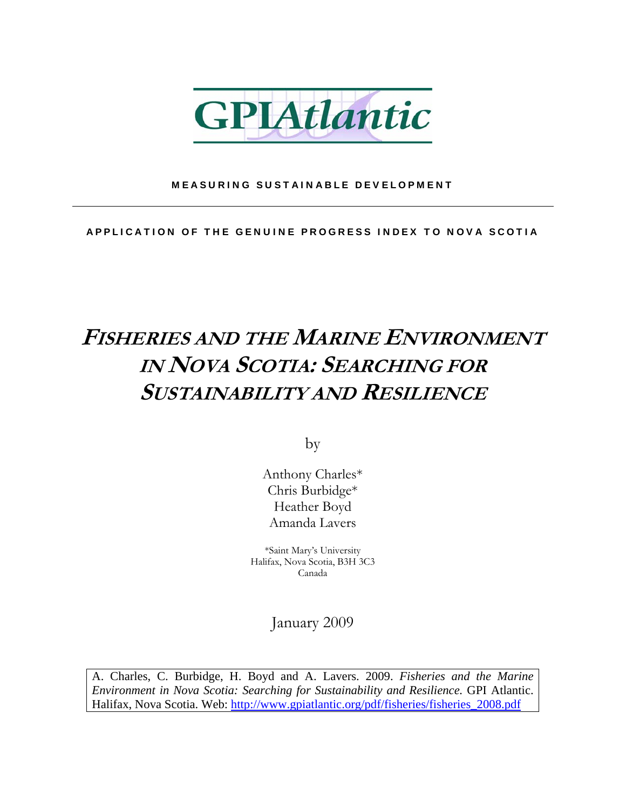

#### MEASURING SUSTAINABLE DEVELOPMENT

APPLICATION OF THE GENUINE PROGRESS INDEX TO NOVA SCOTIA

### **FISHERIES AND THE MARINE ENVIRONMENT IN NOVA SCOTIA: SEARCHING FOR SUSTAINABILITY AND RESILIENCE**

by

Anthony Charles\* Chris Burbidge\* Heather Boyd Amanda Lavers

\*Saint Mary's University Halifax, Nova Scotia, B3H 3C3 Canada

January 2009

A. Charles, C. Burbidge, H. Boyd and A. Lavers. 2009. *Fisheries and the Marine Environment in Nova Scotia: Searching for Sustainability and Resilience.* GPI Atlantic. Halifax, Nova Scotia. Web: [http://www.gpiatlantic.org/pdf/fisheries/fisheries\\_2008.pdf](https://my6.dal.ca/webmail/services/go.php?url=http%3A%2F%2Fwww.gpiatlantic.org%2Fpdf%2Ffisheries%2Ffisheries_2008.pdf)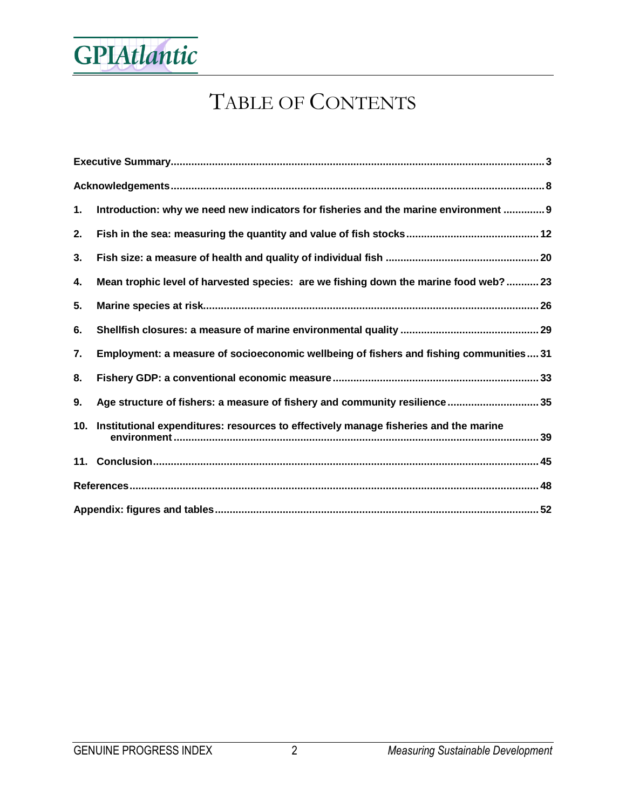

### TABLE OF CONTENTS

| 1. | Introduction: why we need new indicators for fisheries and the marine environment  9     |  |  |  |  |  |
|----|------------------------------------------------------------------------------------------|--|--|--|--|--|
| 2. |                                                                                          |  |  |  |  |  |
| 3. |                                                                                          |  |  |  |  |  |
| 4. | Mean trophic level of harvested species: are we fishing down the marine food web?23      |  |  |  |  |  |
| 5. |                                                                                          |  |  |  |  |  |
| 6. |                                                                                          |  |  |  |  |  |
| 7. | Employment: a measure of socioeconomic wellbeing of fishers and fishing communities31    |  |  |  |  |  |
| 8. |                                                                                          |  |  |  |  |  |
| 9. | Age structure of fishers: a measure of fishery and community resilience 35               |  |  |  |  |  |
|    | 10. Institutional expenditures: resources to effectively manage fisheries and the marine |  |  |  |  |  |
|    |                                                                                          |  |  |  |  |  |
|    |                                                                                          |  |  |  |  |  |
|    |                                                                                          |  |  |  |  |  |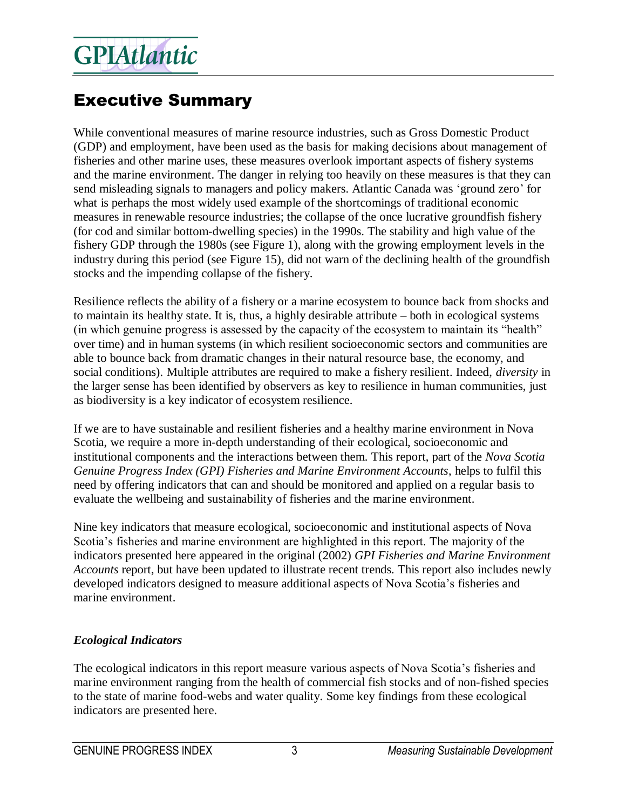### Executive Summary

While conventional measures of marine resource industries, such as Gross Domestic Product (GDP) and employment, have been used as the basis for making decisions about management of fisheries and other marine uses, these measures overlook important aspects of fishery systems and the marine environment. The danger in relying too heavily on these measures is that they can send misleading signals to managers and policy makers. Atlantic Canada was 'ground zero' for what is perhaps the most widely used example of the shortcomings of traditional economic measures in renewable resource industries; the collapse of the once lucrative groundfish fishery (for cod and similar bottom-dwelling species) in the 1990s. The stability and high value of the fishery GDP through the 1980s (see Figure 1), along with the growing employment levels in the industry during this period (see Figure 15), did not warn of the declining health of the groundfish stocks and the impending collapse of the fishery.

Resilience reflects the ability of a fishery or a marine ecosystem to bounce back from shocks and to maintain its healthy state. It is, thus, a highly desirable attribute – both in ecological systems (in which genuine progress is assessed by the capacity of the ecosystem to maintain its "health" over time) and in human systems (in which resilient socioeconomic sectors and communities are able to bounce back from dramatic changes in their natural resource base, the economy, and social conditions). Multiple attributes are required to make a fishery resilient. Indeed, *diversity* in the larger sense has been identified by observers as key to resilience in human communities, just as biodiversity is a key indicator of ecosystem resilience.

If we are to have sustainable and resilient fisheries and a healthy marine environment in Nova Scotia, we require a more in-depth understanding of their ecological, socioeconomic and institutional components and the interactions between them. This report, part of the *Nova Scotia Genuine Progress Index (GPI) Fisheries and Marine Environment Accounts*, helps to fulfil this need by offering indicators that can and should be monitored and applied on a regular basis to evaluate the wellbeing and sustainability of fisheries and the marine environment.

Nine key indicators that measure ecological, socioeconomic and institutional aspects of Nova Scotia's fisheries and marine environment are highlighted in this report. The majority of the indicators presented here appeared in the original (2002) *GPI Fisheries and Marine Environment Accounts* report, but have been updated to illustrate recent trends. This report also includes newly developed indicators designed to measure additional aspects of Nova Scotia's fisheries and marine environment.

#### *Ecological Indicators*

The ecological indicators in this report measure various aspects of Nova Scotia's fisheries and marine environment ranging from the health of commercial fish stocks and of non-fished species to the state of marine food-webs and water quality. Some key findings from these ecological indicators are presented here.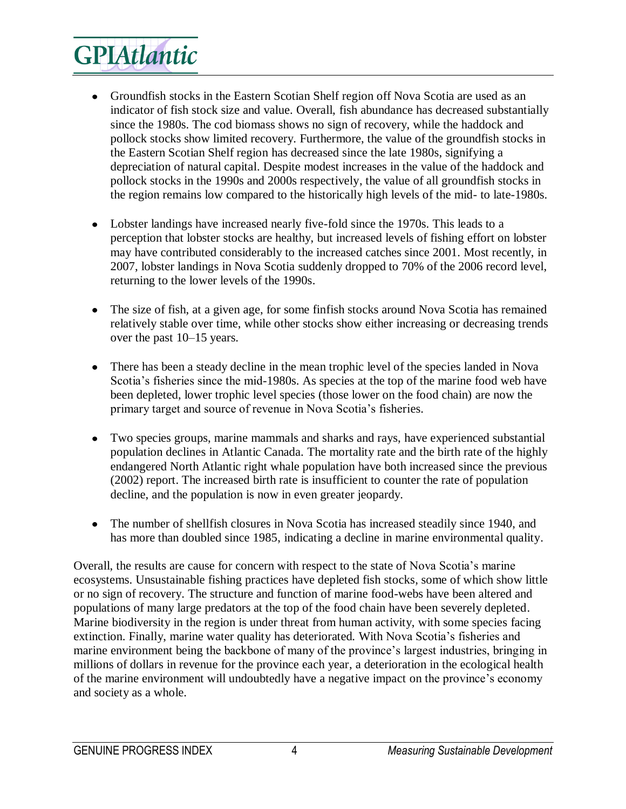- Groundfish stocks in the Eastern Scotian Shelf region off Nova Scotia are used as an indicator of fish stock size and value. Overall, fish abundance has decreased substantially since the 1980s. The cod biomass shows no sign of recovery, while the haddock and pollock stocks show limited recovery. Furthermore, the value of the groundfish stocks in the Eastern Scotian Shelf region has decreased since the late 1980s, signifying a depreciation of natural capital. Despite modest increases in the value of the haddock and pollock stocks in the 1990s and 2000s respectively, the value of all groundfish stocks in the region remains low compared to the historically high levels of the mid- to late-1980s.
- Lobster landings have increased nearly five-fold since the 1970s. This leads to a perception that lobster stocks are healthy, but increased levels of fishing effort on lobster may have contributed considerably to the increased catches since 2001. Most recently, in 2007, lobster landings in Nova Scotia suddenly dropped to 70% of the 2006 record level, returning to the lower levels of the 1990s.
- The size of fish, at a given age, for some finfish stocks around Nova Scotia has remained relatively stable over time, while other stocks show either increasing or decreasing trends over the past 10–15 years.
- There has been a steady decline in the mean trophic level of the species landed in Nova  $\bullet$ Scotia's fisheries since the mid-1980s. As species at the top of the marine food web have been depleted, lower trophic level species (those lower on the food chain) are now the primary target and source of revenue in Nova Scotia's fisheries.
- Two species groups, marine mammals and sharks and rays, have experienced substantial  $\bullet$ population declines in Atlantic Canada. The mortality rate and the birth rate of the highly endangered North Atlantic right whale population have both increased since the previous (2002) report. The increased birth rate is insufficient to counter the rate of population decline, and the population is now in even greater jeopardy.
- The number of shellfish closures in Nova Scotia has increased steadily since 1940, and has more than doubled since 1985, indicating a decline in marine environmental quality.

Overall, the results are cause for concern with respect to the state of Nova Scotia's marine ecosystems. Unsustainable fishing practices have depleted fish stocks, some of which show little or no sign of recovery. The structure and function of marine food-webs have been altered and populations of many large predators at the top of the food chain have been severely depleted. Marine biodiversity in the region is under threat from human activity, with some species facing extinction. Finally, marine water quality has deteriorated. With Nova Scotia's fisheries and marine environment being the backbone of many of the province's largest industries, bringing in millions of dollars in revenue for the province each year, a deterioration in the ecological health of the marine environment will undoubtedly have a negative impact on the province's economy and society as a whole.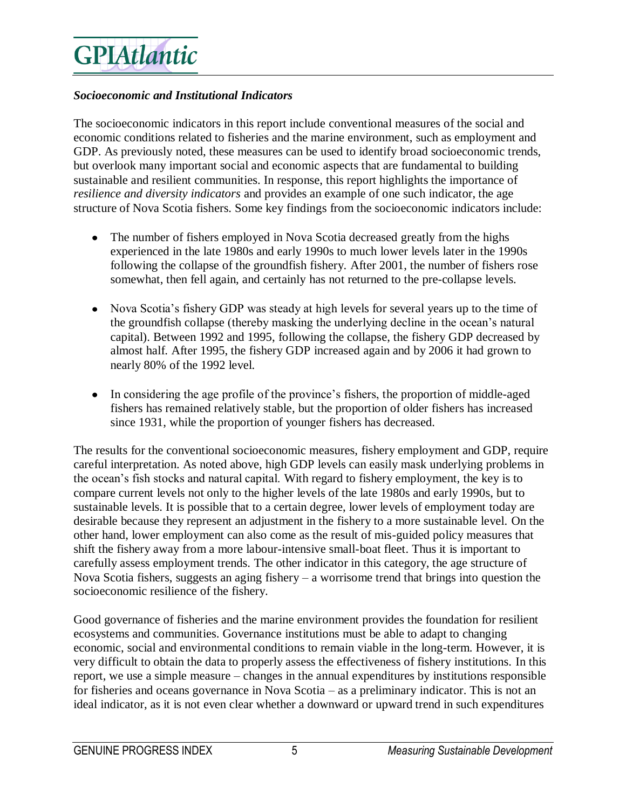#### *Socioeconomic and Institutional Indicators*

The socioeconomic indicators in this report include conventional measures of the social and economic conditions related to fisheries and the marine environment, such as employment and GDP. As previously noted, these measures can be used to identify broad socioeconomic trends, but overlook many important social and economic aspects that are fundamental to building sustainable and resilient communities. In response, this report highlights the importance of *resilience and diversity indicators* and provides an example of one such indicator, the age structure of Nova Scotia fishers. Some key findings from the socioeconomic indicators include:

- $\bullet$ The number of fishers employed in Nova Scotia decreased greatly from the highs experienced in the late 1980s and early 1990s to much lower levels later in the 1990s following the collapse of the groundfish fishery. After 2001, the number of fishers rose somewhat, then fell again, and certainly has not returned to the pre-collapse levels.
- Nova Scotia's fishery GDP was steady at high levels for several years up to the time of the groundfish collapse (thereby masking the underlying decline in the ocean's natural capital). Between 1992 and 1995, following the collapse, the fishery GDP decreased by almost half. After 1995, the fishery GDP increased again and by 2006 it had grown to nearly 80% of the 1992 level.
- In considering the age profile of the province's fishers, the proportion of middle-aged fishers has remained relatively stable, but the proportion of older fishers has increased since 1931, while the proportion of younger fishers has decreased.

The results for the conventional socioeconomic measures, fishery employment and GDP, require careful interpretation. As noted above, high GDP levels can easily mask underlying problems in the ocean's fish stocks and natural capital. With regard to fishery employment, the key is to compare current levels not only to the higher levels of the late 1980s and early 1990s, but to sustainable levels. It is possible that to a certain degree, lower levels of employment today are desirable because they represent an adjustment in the fishery to a more sustainable level. On the other hand, lower employment can also come as the result of mis-guided policy measures that shift the fishery away from a more labour-intensive small-boat fleet. Thus it is important to carefully assess employment trends. The other indicator in this category, the age structure of Nova Scotia fishers, suggests an aging fishery – a worrisome trend that brings into question the socioeconomic resilience of the fishery.

Good governance of fisheries and the marine environment provides the foundation for resilient ecosystems and communities. Governance institutions must be able to adapt to changing economic, social and environmental conditions to remain viable in the long-term. However, it is very difficult to obtain the data to properly assess the effectiveness of fishery institutions. In this report, we use a simple measure – changes in the annual expenditures by institutions responsible for fisheries and oceans governance in Nova Scotia – as a preliminary indicator. This is not an ideal indicator, as it is not even clear whether a downward or upward trend in such expenditures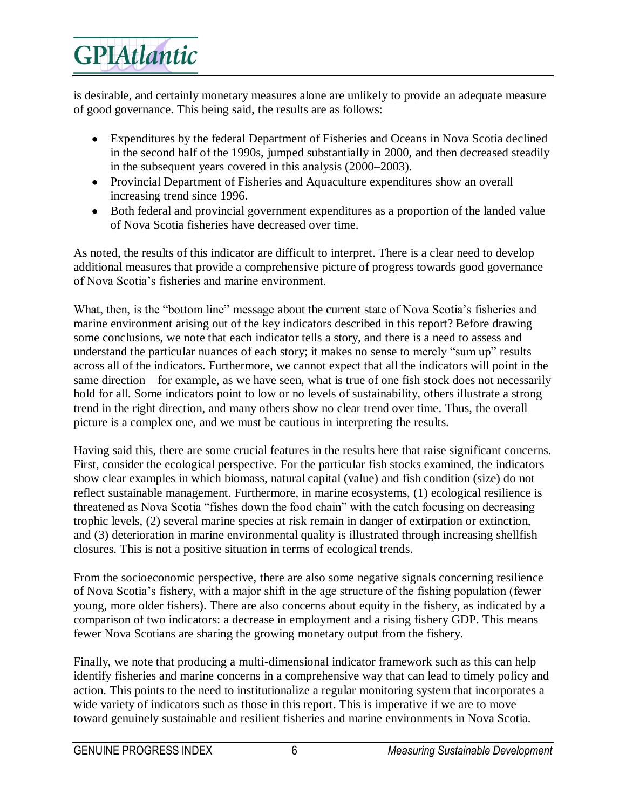is desirable, and certainly monetary measures alone are unlikely to provide an adequate measure of good governance. This being said, the results are as follows:

- Expenditures by the federal Department of Fisheries and Oceans in Nova Scotia declined in the second half of the 1990s, jumped substantially in 2000, and then decreased steadily in the subsequent years covered in this analysis (2000–2003).
- Provincial Department of Fisheries and Aquaculture expenditures show an overall increasing trend since 1996.
- Both federal and provincial government expenditures as a proportion of the landed value of Nova Scotia fisheries have decreased over time.

As noted, the results of this indicator are difficult to interpret. There is a clear need to develop additional measures that provide a comprehensive picture of progress towards good governance of Nova Scotia's fisheries and marine environment.

What, then, is the "bottom line" message about the current state of Nova Scotia's fisheries and marine environment arising out of the key indicators described in this report? Before drawing some conclusions, we note that each indicator tells a story, and there is a need to assess and understand the particular nuances of each story; it makes no sense to merely "sum up" results across all of the indicators. Furthermore, we cannot expect that all the indicators will point in the same direction—for example, as we have seen, what is true of one fish stock does not necessarily hold for all. Some indicators point to low or no levels of sustainability, others illustrate a strong trend in the right direction, and many others show no clear trend over time. Thus, the overall picture is a complex one, and we must be cautious in interpreting the results.

Having said this, there are some crucial features in the results here that raise significant concerns. First, consider the ecological perspective. For the particular fish stocks examined, the indicators show clear examples in which biomass, natural capital (value) and fish condition (size) do not reflect sustainable management. Furthermore, in marine ecosystems, (1) ecological resilience is threatened as Nova Scotia "fishes down the food chain" with the catch focusing on decreasing trophic levels, (2) several marine species at risk remain in danger of extirpation or extinction, and (3) deterioration in marine environmental quality is illustrated through increasing shellfish closures. This is not a positive situation in terms of ecological trends.

From the socioeconomic perspective, there are also some negative signals concerning resilience of Nova Scotia's fishery, with a major shift in the age structure of the fishing population (fewer young, more older fishers). There are also concerns about equity in the fishery, as indicated by a comparison of two indicators: a decrease in employment and a rising fishery GDP. This means fewer Nova Scotians are sharing the growing monetary output from the fishery.

Finally, we note that producing a multi-dimensional indicator framework such as this can help identify fisheries and marine concerns in a comprehensive way that can lead to timely policy and action. This points to the need to institutionalize a regular monitoring system that incorporates a wide variety of indicators such as those in this report. This is imperative if we are to move toward genuinely sustainable and resilient fisheries and marine environments in Nova Scotia.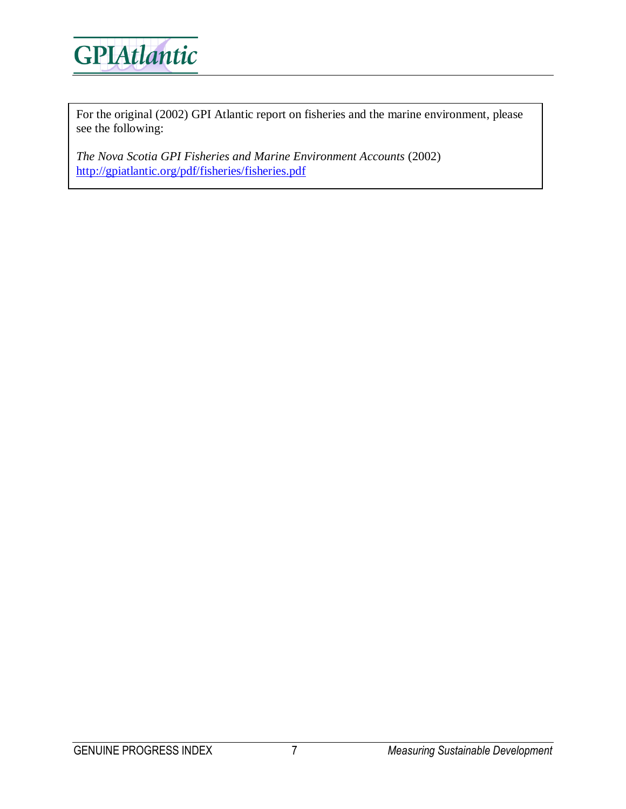

For the original (2002) GPI Atlantic report on fisheries and the marine environment, please see the following:

*The Nova Scotia GPI Fisheries and Marine Environment Accounts* (2002) <http://gpiatlantic.org/pdf/fisheries/fisheries.pdf>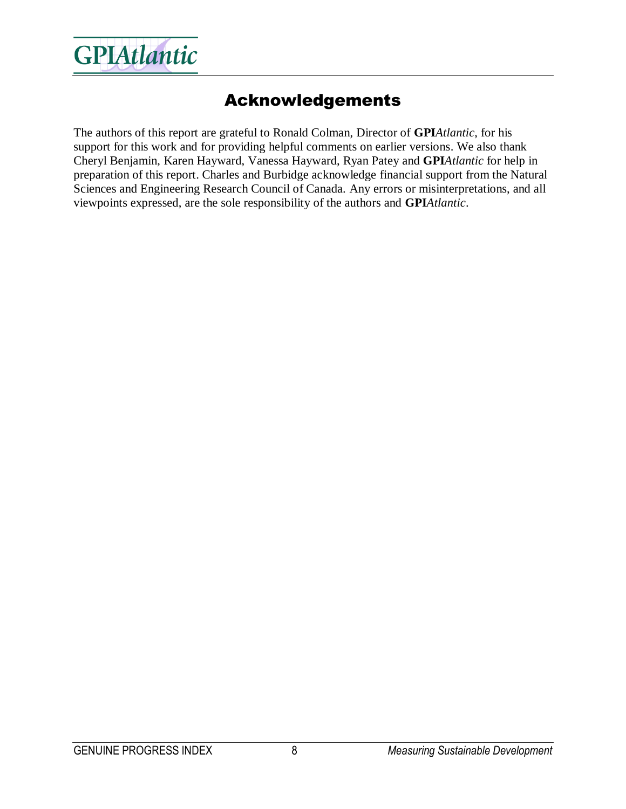

#### Acknowledgements

The authors of this report are grateful to Ronald Colman, Director of **GPI***Atlantic*, for his support for this work and for providing helpful comments on earlier versions. We also thank Cheryl Benjamin, Karen Hayward, Vanessa Hayward, Ryan Patey and **GPI***Atlantic* for help in preparation of this report. Charles and Burbidge acknowledge financial support from the Natural Sciences and Engineering Research Council of Canada. Any errors or misinterpretations, and all viewpoints expressed, are the sole responsibility of the authors and **GPI***Atlantic*.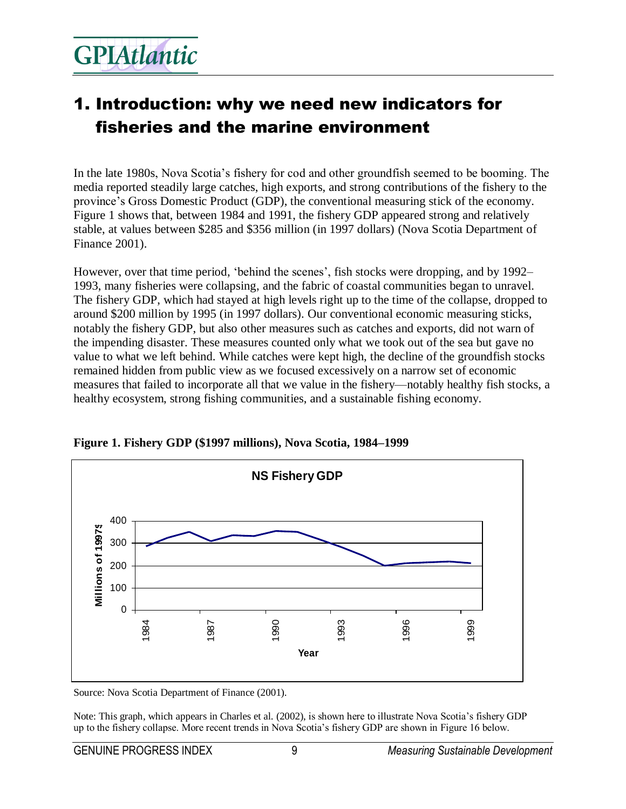### 1. Introduction: why we need new indicators for fisheries and the marine environment

In the late 1980s, Nova Scotia's fishery for cod and other groundfish seemed to be booming. The media reported steadily large catches, high exports, and strong contributions of the fishery to the province's Gross Domestic Product (GDP), the conventional measuring stick of the economy. Figure 1 shows that, between 1984 and 1991, the fishery GDP appeared strong and relatively stable, at values between \$285 and \$356 million (in 1997 dollars) (Nova Scotia Department of Finance 2001).

However, over that time period, 'behind the scenes', fish stocks were dropping, and by 1992– 1993, many fisheries were collapsing, and the fabric of coastal communities began to unravel. The fishery GDP, which had stayed at high levels right up to the time of the collapse, dropped to around \$200 million by 1995 (in 1997 dollars). Our conventional economic measuring sticks, notably the fishery GDP, but also other measures such as catches and exports, did not warn of the impending disaster. These measures counted only what we took out of the sea but gave no value to what we left behind. While catches were kept high, the decline of the groundfish stocks remained hidden from public view as we focused excessively on a narrow set of economic measures that failed to incorporate all that we value in the fishery—notably healthy fish stocks, a healthy ecosystem, strong fishing communities, and a sustainable fishing economy.



**Figure 1. Fishery GDP (\$1997 millions), Nova Scotia, 1984–1999** 

Source: Nova Scotia Department of Finance (2001).

Note: This graph, which appears in Charles et al. (2002), is shown here to illustrate Nova Scotia's fishery GDP up to the fishery collapse. More recent trends in Nova Scotia's fishery GDP are shown in Figure 16 below.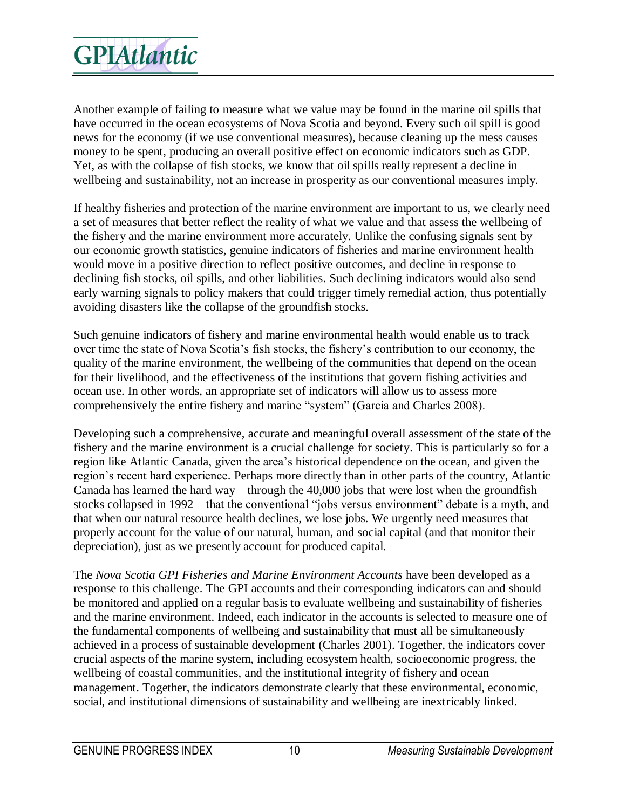Another example of failing to measure what we value may be found in the marine oil spills that have occurred in the ocean ecosystems of Nova Scotia and beyond. Every such oil spill is good news for the economy (if we use conventional measures), because cleaning up the mess causes money to be spent, producing an overall positive effect on economic indicators such as GDP. Yet, as with the collapse of fish stocks, we know that oil spills really represent a decline in wellbeing and sustainability, not an increase in prosperity as our conventional measures imply.

If healthy fisheries and protection of the marine environment are important to us, we clearly need a set of measures that better reflect the reality of what we value and that assess the wellbeing of the fishery and the marine environment more accurately. Unlike the confusing signals sent by our economic growth statistics, genuine indicators of fisheries and marine environment health would move in a positive direction to reflect positive outcomes, and decline in response to declining fish stocks, oil spills, and other liabilities. Such declining indicators would also send early warning signals to policy makers that could trigger timely remedial action, thus potentially avoiding disasters like the collapse of the groundfish stocks.

Such genuine indicators of fishery and marine environmental health would enable us to track over time the state of Nova Scotia's fish stocks, the fishery's contribution to our economy, the quality of the marine environment, the wellbeing of the communities that depend on the ocean for their livelihood, and the effectiveness of the institutions that govern fishing activities and ocean use. In other words, an appropriate set of indicators will allow us to assess more comprehensively the entire fishery and marine "system" (Garcia and Charles 2008).

Developing such a comprehensive, accurate and meaningful overall assessment of the state of the fishery and the marine environment is a crucial challenge for society. This is particularly so for a region like Atlantic Canada, given the area's historical dependence on the ocean, and given the region's recent hard experience. Perhaps more directly than in other parts of the country, Atlantic Canada has learned the hard way—through the 40,000 jobs that were lost when the groundfish stocks collapsed in 1992—that the conventional "jobs versus environment" debate is a myth, and that when our natural resource health declines, we lose jobs. We urgently need measures that properly account for the value of our natural, human, and social capital (and that monitor their depreciation), just as we presently account for produced capital.

The *Nova Scotia GPI Fisheries and Marine Environment Accounts* have been developed as a response to this challenge. The GPI accounts and their corresponding indicators can and should be monitored and applied on a regular basis to evaluate wellbeing and sustainability of fisheries and the marine environment. Indeed, each indicator in the accounts is selected to measure one of the fundamental components of wellbeing and sustainability that must all be simultaneously achieved in a process of sustainable development (Charles 2001). Together, the indicators cover crucial aspects of the marine system, including ecosystem health, socioeconomic progress, the wellbeing of coastal communities, and the institutional integrity of fishery and ocean management. Together, the indicators demonstrate clearly that these environmental, economic, social, and institutional dimensions of sustainability and wellbeing are inextricably linked.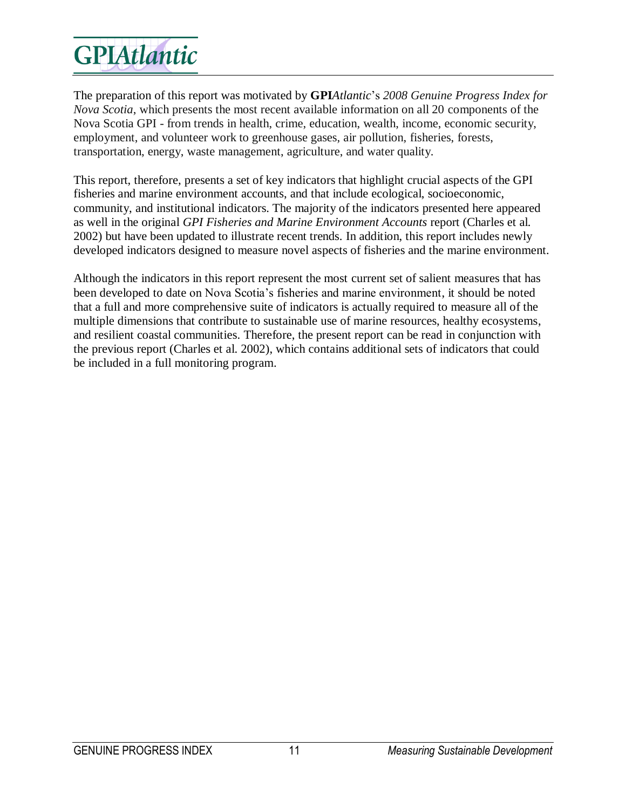The preparation of this report was motivated by **GPI***Atlantic*'s *2008 Genuine Progress Index for Nova Scotia*, which presents the most recent available information on all 20 components of the Nova Scotia GPI - from trends in health, crime, education, wealth, income, economic security, employment, and volunteer work to greenhouse gases, air pollution, fisheries, forests, transportation, energy, waste management, agriculture, and water quality.

This report, therefore, presents a set of key indicators that highlight crucial aspects of the GPI fisheries and marine environment accounts, and that include ecological, socioeconomic, community, and institutional indicators. The majority of the indicators presented here appeared as well in the original *GPI Fisheries and Marine Environment Accounts* report (Charles et al. 2002) but have been updated to illustrate recent trends. In addition, this report includes newly developed indicators designed to measure novel aspects of fisheries and the marine environment.

Although the indicators in this report represent the most current set of salient measures that has been developed to date on Nova Scotia's fisheries and marine environment, it should be noted that a full and more comprehensive suite of indicators is actually required to measure all of the multiple dimensions that contribute to sustainable use of marine resources, healthy ecosystems, and resilient coastal communities. Therefore, the present report can be read in conjunction with the previous report (Charles et al. 2002), which contains additional sets of indicators that could be included in a full monitoring program.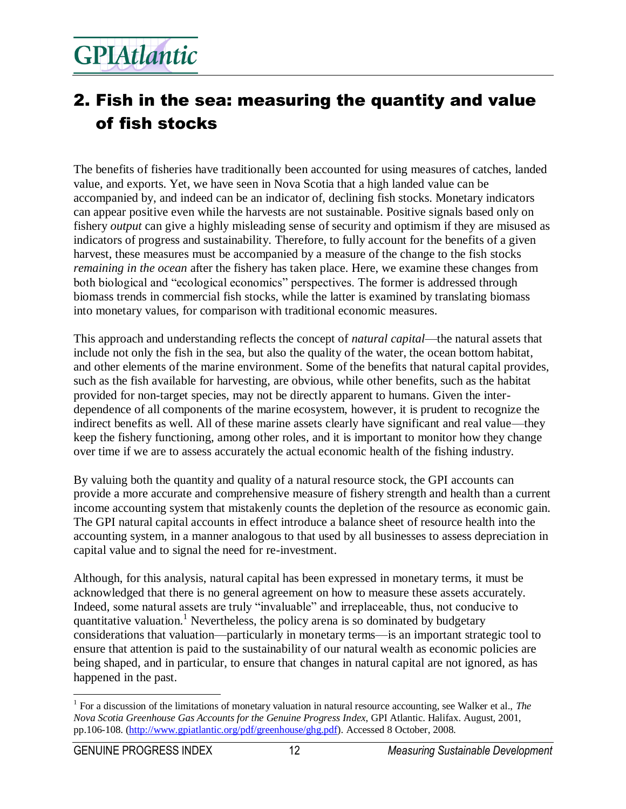### 2. Fish in the sea: measuring the quantity and value of fish stocks

The benefits of fisheries have traditionally been accounted for using measures of catches, landed value, and exports. Yet, we have seen in Nova Scotia that a high landed value can be accompanied by, and indeed can be an indicator of, declining fish stocks. Monetary indicators can appear positive even while the harvests are not sustainable. Positive signals based only on fishery *output* can give a highly misleading sense of security and optimism if they are misused as indicators of progress and sustainability. Therefore, to fully account for the benefits of a given harvest, these measures must be accompanied by a measure of the change to the fish stocks *remaining in the ocean* after the fishery has taken place. Here, we examine these changes from both biological and "ecological economics" perspectives. The former is addressed through biomass trends in commercial fish stocks, while the latter is examined by translating biomass into monetary values, for comparison with traditional economic measures.

This approach and understanding reflects the concept of *natural capital*—the natural assets that include not only the fish in the sea, but also the quality of the water, the ocean bottom habitat, and other elements of the marine environment. Some of the benefits that natural capital provides, such as the fish available for harvesting, are obvious, while other benefits, such as the habitat provided for non-target species, may not be directly apparent to humans. Given the interdependence of all components of the marine ecosystem, however, it is prudent to recognize the indirect benefits as well. All of these marine assets clearly have significant and real value—they keep the fishery functioning, among other roles, and it is important to monitor how they change over time if we are to assess accurately the actual economic health of the fishing industry.

By valuing both the quantity and quality of a natural resource stock, the GPI accounts can provide a more accurate and comprehensive measure of fishery strength and health than a current income accounting system that mistakenly counts the depletion of the resource as economic gain. The GPI natural capital accounts in effect introduce a balance sheet of resource health into the accounting system, in a manner analogous to that used by all businesses to assess depreciation in capital value and to signal the need for re-investment.

Although, for this analysis, natural capital has been expressed in monetary terms, it must be acknowledged that there is no general agreement on how to measure these assets accurately. Indeed, some natural assets are truly "invaluable" and irreplaceable, thus, not conducive to quantitative valuation.<sup>1</sup> Nevertheless, the policy arena is so dominated by budgetary considerations that valuation—particularly in monetary terms—is an important strategic tool to ensure that attention is paid to the sustainability of our natural wealth as economic policies are being shaped, and in particular, to ensure that changes in natural capital are not ignored, as has happened in the past.

 $\overline{a}$ <sup>1</sup> For a discussion of the limitations of monetary valuation in natural resource accounting, see Walker et al., *The Nova Scotia Greenhouse Gas Accounts for the Genuine Progress Index*, GPI Atlantic. Halifax. August, 2001, pp.106-108. [\(http://www.gpiatlantic.org/pdf/greenhouse/ghg.pdf\)](http://www.gpiatlantic.org/pdf/greenhouse/ghg.pdf). Accessed 8 October, 2008.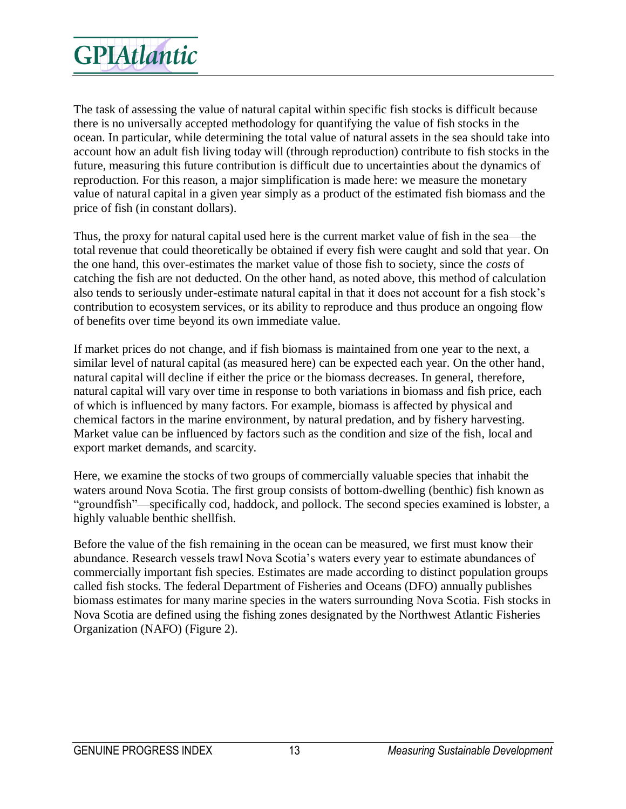The task of assessing the value of natural capital within specific fish stocks is difficult because there is no universally accepted methodology for quantifying the value of fish stocks in the ocean. In particular, while determining the total value of natural assets in the sea should take into account how an adult fish living today will (through reproduction) contribute to fish stocks in the future, measuring this future contribution is difficult due to uncertainties about the dynamics of reproduction. For this reason, a major simplification is made here: we measure the monetary value of natural capital in a given year simply as a product of the estimated fish biomass and the price of fish (in constant dollars).

Thus, the proxy for natural capital used here is the current market value of fish in the sea—the total revenue that could theoretically be obtained if every fish were caught and sold that year. On the one hand, this over-estimates the market value of those fish to society, since the *costs* of catching the fish are not deducted. On the other hand, as noted above, this method of calculation also tends to seriously under-estimate natural capital in that it does not account for a fish stock's contribution to ecosystem services, or its ability to reproduce and thus produce an ongoing flow of benefits over time beyond its own immediate value.

If market prices do not change, and if fish biomass is maintained from one year to the next, a similar level of natural capital (as measured here) can be expected each year. On the other hand, natural capital will decline if either the price or the biomass decreases. In general, therefore, natural capital will vary over time in response to both variations in biomass and fish price, each of which is influenced by many factors. For example, biomass is affected by physical and chemical factors in the marine environment, by natural predation, and by fishery harvesting. Market value can be influenced by factors such as the condition and size of the fish, local and export market demands, and scarcity.

Here, we examine the stocks of two groups of commercially valuable species that inhabit the waters around Nova Scotia. The first group consists of bottom-dwelling (benthic) fish known as "groundfish"—specifically cod, haddock, and pollock. The second species examined is lobster, a highly valuable benthic shellfish.

Before the value of the fish remaining in the ocean can be measured, we first must know their abundance. Research vessels trawl Nova Scotia's waters every year to estimate abundances of commercially important fish species. Estimates are made according to distinct population groups called fish stocks. The federal Department of Fisheries and Oceans (DFO) annually publishes biomass estimates for many marine species in the waters surrounding Nova Scotia. Fish stocks in Nova Scotia are defined using the fishing zones designated by the Northwest Atlantic Fisheries Organization (NAFO) (Figure 2).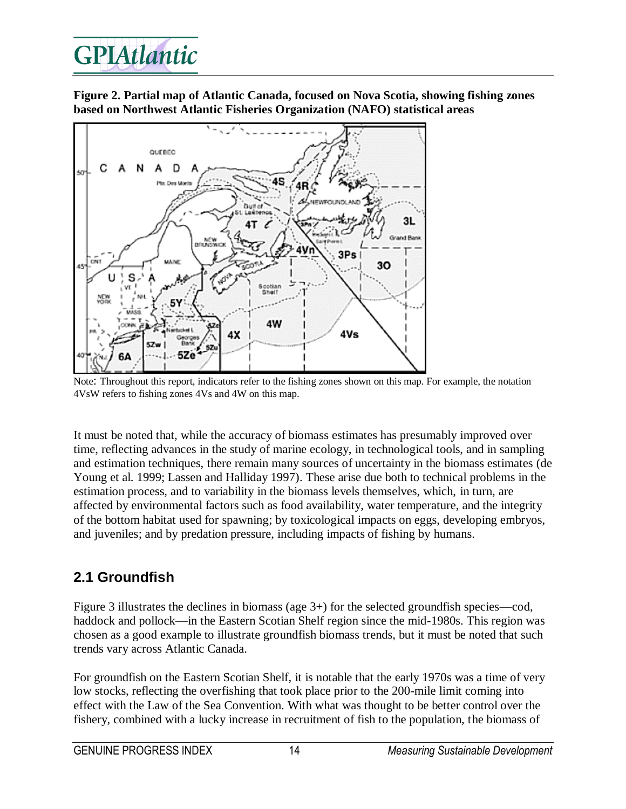**Figure 2. Partial map of Atlantic Canada, focused on Nova Scotia, showing fishing zones based on Northwest Atlantic Fisheries Organization (NAFO) statistical areas**



Note: Throughout this report, indicators refer to the fishing zones shown on this map. For example, the notation 4VsW refers to fishing zones 4Vs and 4W on this map.

It must be noted that, while the accuracy of biomass estimates has presumably improved over time, reflecting advances in the study of marine ecology, in technological tools, and in sampling and estimation techniques, there remain many sources of uncertainty in the biomass estimates (de Young et al. 1999; Lassen and Halliday 1997). These arise due both to technical problems in the estimation process, and to variability in the biomass levels themselves, which, in turn, are affected by environmental factors such as food availability, water temperature, and the integrity of the bottom habitat used for spawning; by toxicological impacts on eggs, developing embryos, and juveniles; and by predation pressure, including impacts of fishing by humans.

#### **2.1 Groundfish**

Figure 3 illustrates the declines in biomass (age 3+) for the selected groundfish species—cod, haddock and pollock—in the Eastern Scotian Shelf region since the mid-1980s. This region was chosen as a good example to illustrate groundfish biomass trends, but it must be noted that such trends vary across Atlantic Canada.

For groundfish on the Eastern Scotian Shelf, it is notable that the early 1970s was a time of very low stocks, reflecting the overfishing that took place prior to the 200-mile limit coming into effect with the Law of the Sea Convention. With what was thought to be better control over the fishery, combined with a lucky increase in recruitment of fish to the population, the biomass of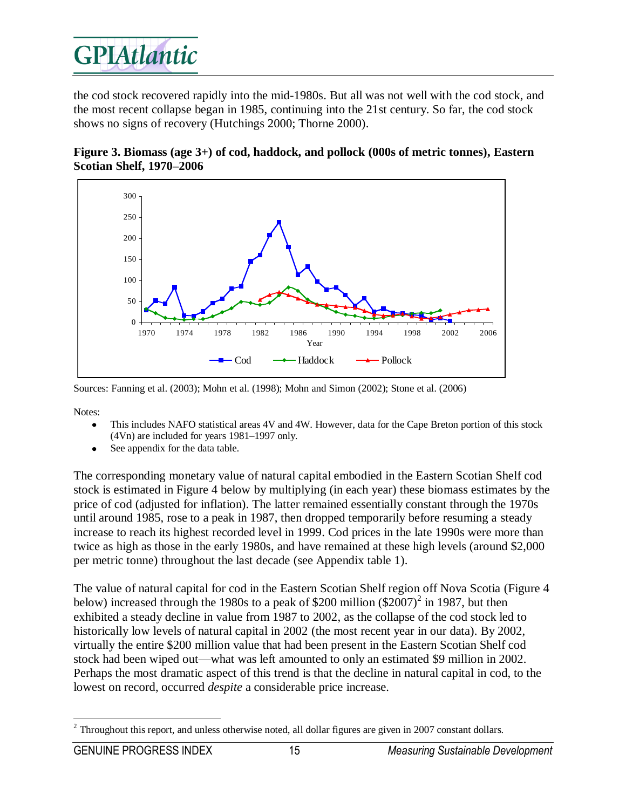the cod stock recovered rapidly into the mid-1980s. But all was not well with the cod stock, and the most recent collapse began in 1985, continuing into the 21st century. So far, the cod stock shows no signs of recovery (Hutchings 2000; Thorne 2000).





Sources: Fanning et al. (2003); Mohn et al. (1998); Mohn and Simon (2002); Stone et al. (2006)

Notes:

- This includes NAFO statistical areas 4V and 4W. However, data for the Cape Breton portion of this stock (4Vn) are included for years 1981–1997 only.
- See appendix for the data table.

The corresponding monetary value of natural capital embodied in the Eastern Scotian Shelf cod stock is estimated in Figure 4 below by multiplying (in each year) these biomass estimates by the price of cod (adjusted for inflation). The latter remained essentially constant through the 1970s until around 1985, rose to a peak in 1987, then dropped temporarily before resuming a steady increase to reach its highest recorded level in 1999. Cod prices in the late 1990s were more than twice as high as those in the early 1980s, and have remained at these high levels (around \$2,000 per metric tonne) throughout the last decade (see Appendix table 1).

The value of natural capital for cod in the Eastern Scotian Shelf region off Nova Scotia (Figure 4 below) increased through the 1980s to a peak of \$200 million  $(\$2007)^2$  in 1987, but then exhibited a steady decline in value from 1987 to 2002, as the collapse of the cod stock led to historically low levels of natural capital in 2002 (the most recent year in our data). By 2002, virtually the entire \$200 million value that had been present in the Eastern Scotian Shelf cod stock had been wiped out—what was left amounted to only an estimated \$9 million in 2002. Perhaps the most dramatic aspect of this trend is that the decline in natural capital in cod, to the lowest on record, occurred *despite* a considerable price increase.

 $\overline{a}$  $2$  Throughout this report, and unless otherwise noted, all dollar figures are given in 2007 constant dollars.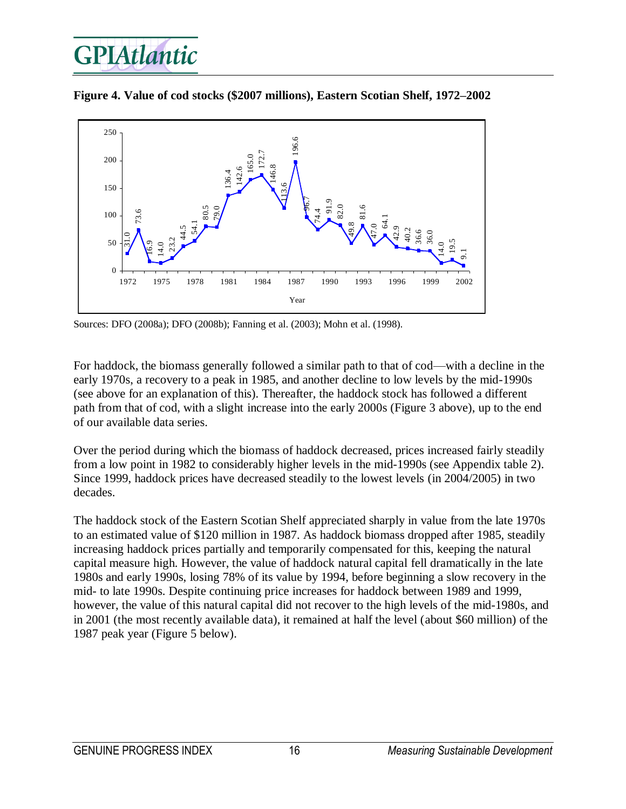

**Figure 4. Value of cod stocks (\$2007 millions), Eastern Scotian Shelf, 1972–2002**

Sources: DFO (2008a); DFO (2008b); Fanning et al. (2003); Mohn et al. (1998).

For haddock, the biomass generally followed a similar path to that of cod—with a decline in the early 1970s, a recovery to a peak in 1985, and another decline to low levels by the mid-1990s (see above for an explanation of this). Thereafter, the haddock stock has followed a different path from that of cod, with a slight increase into the early 2000s (Figure 3 above), up to the end of our available data series.

Over the period during which the biomass of haddock decreased, prices increased fairly steadily from a low point in 1982 to considerably higher levels in the mid-1990s (see Appendix table 2). Since 1999, haddock prices have decreased steadily to the lowest levels (in 2004/2005) in two decades.

The haddock stock of the Eastern Scotian Shelf appreciated sharply in value from the late 1970s to an estimated value of \$120 million in 1987. As haddock biomass dropped after 1985, steadily increasing haddock prices partially and temporarily compensated for this, keeping the natural capital measure high. However, the value of haddock natural capital fell dramatically in the late 1980s and early 1990s, losing 78% of its value by 1994, before beginning a slow recovery in the mid- to late 1990s. Despite continuing price increases for haddock between 1989 and 1999, however, the value of this natural capital did not recover to the high levels of the mid-1980s, and in 2001 (the most recently available data), it remained at half the level (about \$60 million) of the 1987 peak year (Figure 5 below).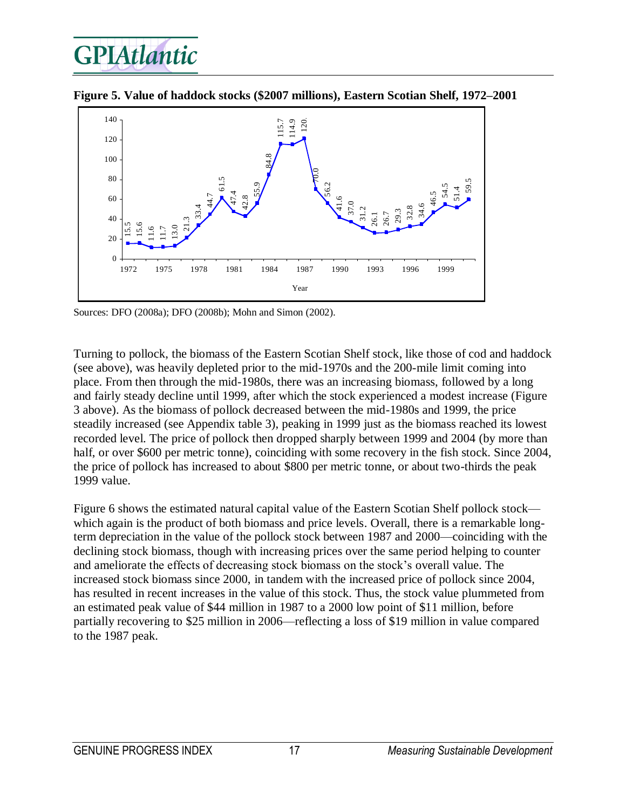



**Figure 5. Value of haddock stocks (\$2007 millions), Eastern Scotian Shelf, 1972–2001**

Sources: DFO (2008a); DFO (2008b); Mohn and Simon (2002).

Turning to pollock, the biomass of the Eastern Scotian Shelf stock, like those of cod and haddock (see above), was heavily depleted prior to the mid-1970s and the 200-mile limit coming into place. From then through the mid-1980s, there was an increasing biomass, followed by a long and fairly steady decline until 1999, after which the stock experienced a modest increase (Figure 3 above). As the biomass of pollock decreased between the mid-1980s and 1999, the price steadily increased (see Appendix table 3), peaking in 1999 just as the biomass reached its lowest recorded level. The price of pollock then dropped sharply between 1999 and 2004 (by more than half, or over \$600 per metric tonne), coinciding with some recovery in the fish stock. Since 2004, the price of pollock has increased to about \$800 per metric tonne, or about two-thirds the peak 1999 value.

Figure 6 shows the estimated natural capital value of the Eastern Scotian Shelf pollock stock which again is the product of both biomass and price levels. Overall, there is a remarkable longterm depreciation in the value of the pollock stock between 1987 and 2000—coinciding with the declining stock biomass, though with increasing prices over the same period helping to counter and ameliorate the effects of decreasing stock biomass on the stock's overall value. The increased stock biomass since 2000, in tandem with the increased price of pollock since 2004, has resulted in recent increases in the value of this stock. Thus, the stock value plummeted from an estimated peak value of \$44 million in 1987 to a 2000 low point of \$11 million, before partially recovering to \$25 million in 2006—reflecting a loss of \$19 million in value compared to the 1987 peak.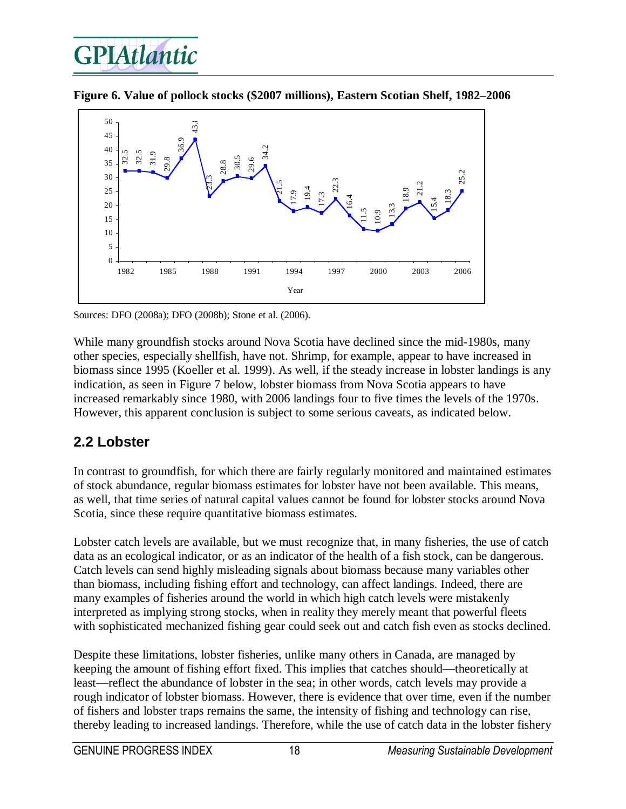



**Figure 6. Value of pollock stocks (\$2007 millions), Eastern Scotian Shelf, 1982–2006** 

Sources: DFO (2008a); DFO (2008b); Stone et al. (2006).

While many groundfish stocks around Nova Scotia have declined since the mid-1980s, many other species, especially shellfish, have not. Shrimp, for example, appear to have increased in biomass since 1995 (Koeller et al. 1999). As well, if the steady increase in lobster landings is any indication, as seen in Figure 7 below, lobster biomass from Nova Scotia appears to have increased remarkably since 1980, with 2006 landings four to five times the levels of the 1970s. However, this apparent conclusion is subject to some serious caveats, as indicated below.

#### **2.2 Lobster**

In contrast to groundfish, for which there are fairly regularly monitored and maintained estimates of stock abundance, regular biomass estimates for lobster have not been available. This means, as well, that time series of natural capital values cannot be found for lobster stocks around Nova Scotia, since these require quantitative biomass estimates.

Lobster catch levels are available, but we must recognize that, in many fisheries, the use of catch data as an ecological indicator, or as an indicator of the health of a fish stock, can be dangerous. Catch levels can send highly misleading signals about biomass because many variables other than biomass, including fishing effort and technology, can affect landings. Indeed, there are many examples of fisheries around the world in which high catch levels were mistakenly interpreted as implying strong stocks, when in reality they merely meant that powerful fleets with sophisticated mechanized fishing gear could seek out and catch fish even as stocks declined.

Despite these limitations, lobster fisheries, unlike many others in Canada, are managed by keeping the amount of fishing effort fixed. This implies that catches should—theoretically at least—reflect the abundance of lobster in the sea; in other words, catch levels may provide a rough indicator of lobster biomass. However, there is evidence that over time, even if the number of fishers and lobster traps remains the same, the intensity of fishing and technology can rise, thereby leading to increased landings. Therefore, while the use of catch data in the lobster fishery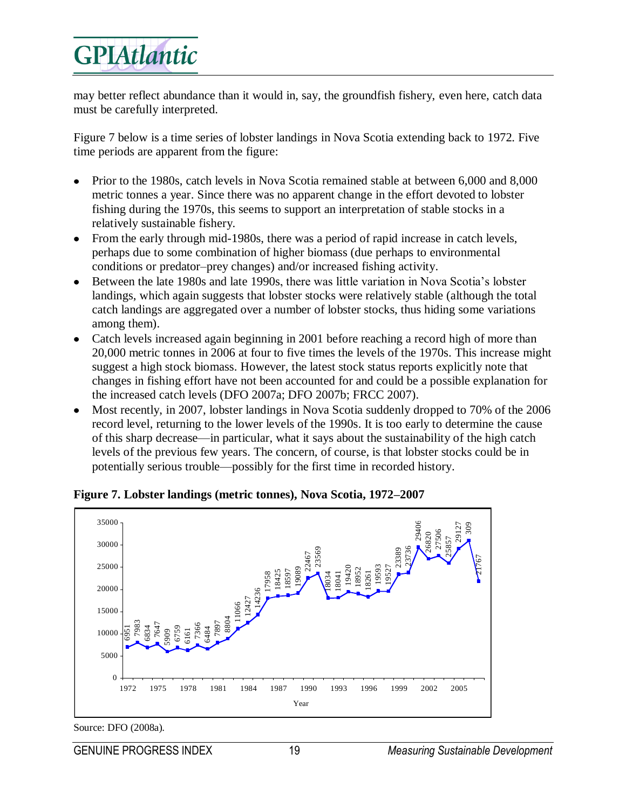may better reflect abundance than it would in, say, the groundfish fishery, even here, catch data must be carefully interpreted.

Figure 7 below is a time series of lobster landings in Nova Scotia extending back to 1972. Five time periods are apparent from the figure:

- Prior to the 1980s, catch levels in Nova Scotia remained stable at between 6,000 and 8,000 metric tonnes a year. Since there was no apparent change in the effort devoted to lobster fishing during the 1970s, this seems to support an interpretation of stable stocks in a relatively sustainable fishery.
- From the early through mid-1980s, there was a period of rapid increase in catch levels, perhaps due to some combination of higher biomass (due perhaps to environmental conditions or predator–prey changes) and/or increased fishing activity.
- Between the late 1980s and late 1990s, there was little variation in Nova Scotia's lobster landings, which again suggests that lobster stocks were relatively stable (although the total catch landings are aggregated over a number of lobster stocks, thus hiding some variations among them).
- Catch levels increased again beginning in 2001 before reaching a record high of more than  $\bullet$ 20,000 metric tonnes in 2006 at four to five times the levels of the 1970s. This increase might suggest a high stock biomass. However, the latest stock status reports explicitly note that changes in fishing effort have not been accounted for and could be a possible explanation for the increased catch levels (DFO 2007a; DFO 2007b; FRCC 2007).
- Most recently, in 2007, lobster landings in Nova Scotia suddenly dropped to 70% of the 2006 record level, returning to the lower levels of the 1990s. It is too early to determine the cause of this sharp decrease—in particular, what it says about the sustainability of the high catch levels of the previous few years. The concern, of course, is that lobster stocks could be in potentially serious trouble—possibly for the first time in recorded history.



**Figure 7. Lobster landings (metric tonnes), Nova Scotia, 1972–2007**

Source: DFO (2008a).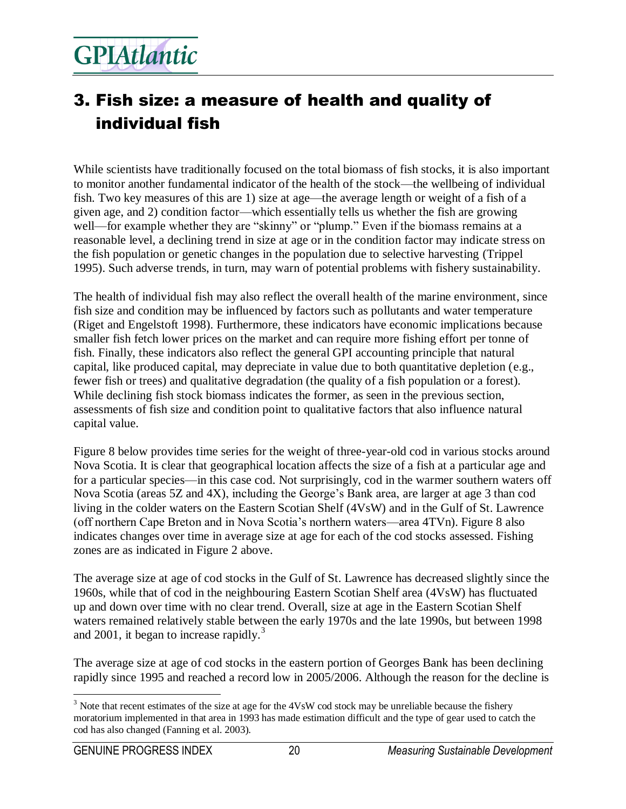### 3. Fish size: a measure of health and quality of individual fish

While scientists have traditionally focused on the total biomass of fish stocks, it is also important to monitor another fundamental indicator of the health of the stock—the wellbeing of individual fish. Two key measures of this are 1) size at age—the average length or weight of a fish of a given age, and 2) condition factor—which essentially tells us whether the fish are growing well—for example whether they are "skinny" or "plump." Even if the biomass remains at a reasonable level, a declining trend in size at age or in the condition factor may indicate stress on the fish population or genetic changes in the population due to selective harvesting (Trippel 1995). Such adverse trends, in turn, may warn of potential problems with fishery sustainability.

The health of individual fish may also reflect the overall health of the marine environment, since fish size and condition may be influenced by factors such as pollutants and water temperature (Riget and Engelstoft 1998). Furthermore, these indicators have economic implications because smaller fish fetch lower prices on the market and can require more fishing effort per tonne of fish. Finally, these indicators also reflect the general GPI accounting principle that natural capital, like produced capital, may depreciate in value due to both quantitative depletion (e.g., fewer fish or trees) and qualitative degradation (the quality of a fish population or a forest). While declining fish stock biomass indicates the former, as seen in the previous section, assessments of fish size and condition point to qualitative factors that also influence natural capital value.

Figure 8 below provides time series for the weight of three-year-old cod in various stocks around Nova Scotia. It is clear that geographical location affects the size of a fish at a particular age and for a particular species—in this case cod. Not surprisingly, cod in the warmer southern waters off Nova Scotia (areas 5Z and 4X), including the George's Bank area, are larger at age 3 than cod living in the colder waters on the Eastern Scotian Shelf (4VsW) and in the Gulf of St. Lawrence (off northern Cape Breton and in Nova Scotia's northern waters—area 4TVn). Figure 8 also indicates changes over time in average size at age for each of the cod stocks assessed. Fishing zones are as indicated in Figure 2 above.

The average size at age of cod stocks in the Gulf of St. Lawrence has decreased slightly since the 1960s, while that of cod in the neighbouring Eastern Scotian Shelf area (4VsW) has fluctuated up and down over time with no clear trend. Overall, size at age in the Eastern Scotian Shelf waters remained relatively stable between the early 1970s and the late 1990s, but between 1998 and 2001, it began to increase rapidly.<sup>3</sup>

The average size at age of cod stocks in the eastern portion of Georges Bank has been declining rapidly since 1995 and reached a record low in 2005/2006. Although the reason for the decline is

 $\overline{a}$ <sup>3</sup> Note that recent estimates of the size at age for the 4VsW cod stock may be unreliable because the fishery moratorium implemented in that area in 1993 has made estimation difficult and the type of gear used to catch the cod has also changed (Fanning et al. 2003).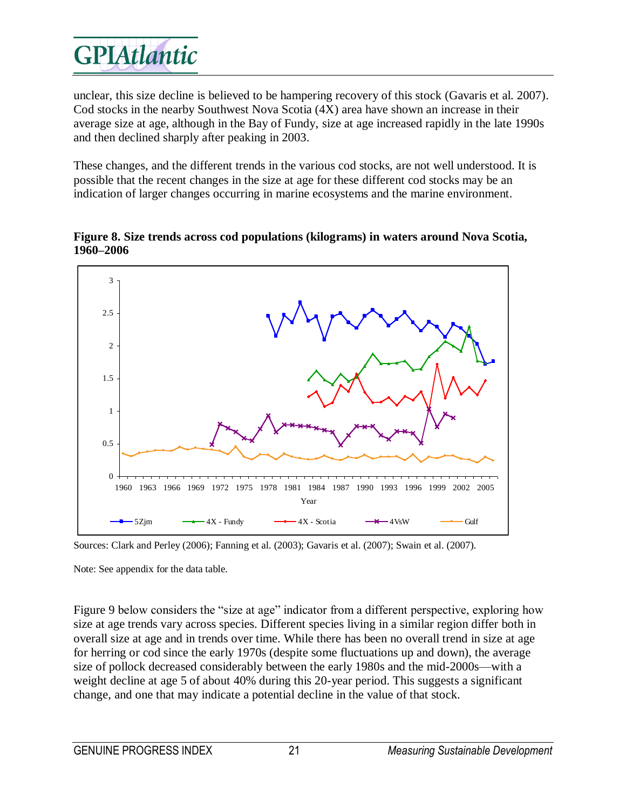unclear, this size decline is believed to be hampering recovery of this stock (Gavaris et al. 2007). Cod stocks in the nearby Southwest Nova Scotia (4X) area have shown an increase in their average size at age, although in the Bay of Fundy, size at age increased rapidly in the late 1990s and then declined sharply after peaking in 2003.

These changes, and the different trends in the various cod stocks, are not well understood. It is possible that the recent changes in the size at age for these different cod stocks may be an indication of larger changes occurring in marine ecosystems and the marine environment.



**Figure 8. Size trends across cod populations (kilograms) in waters around Nova Scotia, 1960–2006**

Sources: Clark and Perley (2006); Fanning et al. (2003); Gavaris et al. (2007); Swain et al. (2007).

Note: See appendix for the data table.

Figure 9 below considers the "size at age" indicator from a different perspective, exploring how size at age trends vary across species. Different species living in a similar region differ both in overall size at age and in trends over time. While there has been no overall trend in size at age for herring or cod since the early 1970s (despite some fluctuations up and down), the average size of pollock decreased considerably between the early 1980s and the mid-2000s—with a weight decline at age 5 of about 40% during this 20-year period. This suggests a significant change, and one that may indicate a potential decline in the value of that stock.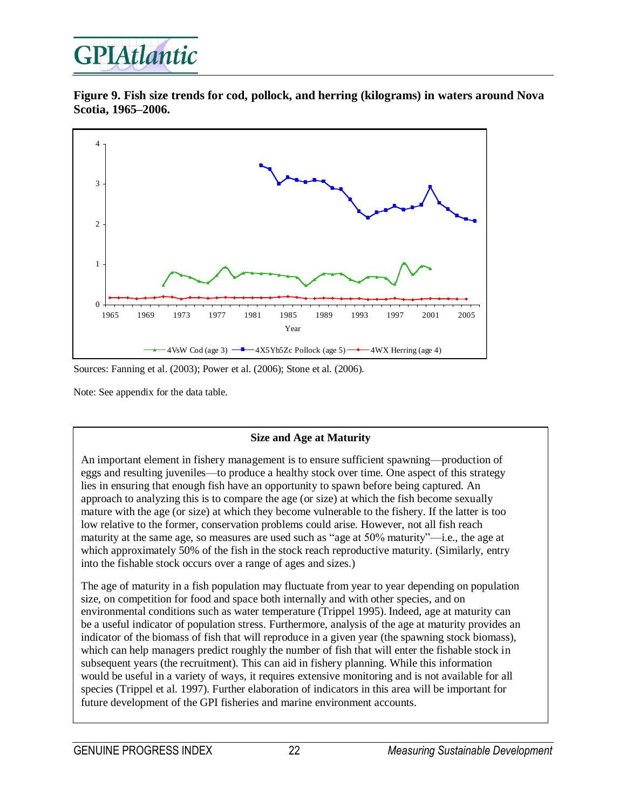**Figure 9. Fish size trends for cod, pollock, and herring (kilograms) in waters around Nova Scotia, 1965–2006.**



Sources: Fanning et al. (2003); Power et al. (2006); Stone et al. (2006).

Note: See appendix for the data table.

#### **Size and Age at Maturity**

An important element in fishery management is to ensure sufficient spawning—production of eggs and resulting juveniles—to produce a healthy stock over time. One aspect of this strategy lies in ensuring that enough fish have an opportunity to spawn before being captured. An approach to analyzing this is to compare the age (or size) at which the fish become sexually mature with the age (or size) at which they become vulnerable to the fishery. If the latter is too low relative to the former, conservation problems could arise. However, not all fish reach maturity at the same age, so measures are used such as "age at 50% maturity"—i.e., the age at which approximately 50% of the fish in the stock reach reproductive maturity. (Similarly, entry into the fishable stock occurs over a range of ages and sizes.)

The age of maturity in a fish population may fluctuate from year to year depending on population size, on competition for food and space both internally and with other species, and on environmental conditions such as water temperature (Trippel 1995). Indeed, age at maturity can be a useful indicator of population stress. Furthermore, analysis of the age at maturity provides an indicator of the biomass of fish that will reproduce in a given year (the spawning stock biomass), which can help managers predict roughly the number of fish that will enter the fishable stock in subsequent years (the recruitment). This can aid in fishery planning. While this information would be useful in a variety of ways, it requires extensive monitoring and is not available for all species (Trippel et al. 1997). Further elaboration of indicators in this area will be important for future development of the GPI fisheries and marine environment accounts.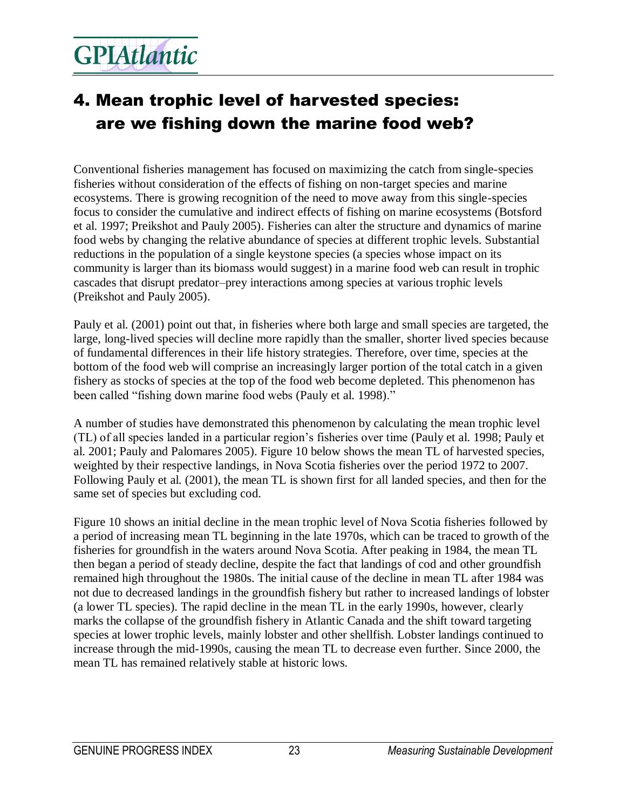### 4. Mean trophic level of harvested species: are we fishing down the marine food web?

Conventional fisheries management has focused on maximizing the catch from single-species fisheries without consideration of the effects of fishing on non-target species and marine ecosystems. There is growing recognition of the need to move away from this single-species focus to consider the cumulative and indirect effects of fishing on marine ecosystems (Botsford et al. 1997; Preikshot and Pauly 2005). Fisheries can alter the structure and dynamics of marine food webs by changing the relative abundance of species at different trophic levels. Substantial reductions in the population of a single keystone species (a species whose impact on its community is larger than its biomass would suggest) in a marine food web can result in trophic cascades that disrupt predator–prey interactions among species at various trophic levels (Preikshot and Pauly 2005).

Pauly et al. (2001) point out that, in fisheries where both large and small species are targeted, the large, long-lived species will decline more rapidly than the smaller, shorter lived species because of fundamental differences in their life history strategies. Therefore, over time, species at the bottom of the food web will comprise an increasingly larger portion of the total catch in a given fishery as stocks of species at the top of the food web become depleted. This phenomenon has been called "fishing down marine food webs (Pauly et al. 1998)."

A number of studies have demonstrated this phenomenon by calculating the mean trophic level (TL) of all species landed in a particular region's fisheries over time (Pauly et al. 1998; Pauly et al. 2001; Pauly and Palomares 2005). Figure 10 below shows the mean TL of harvested species, weighted by their respective landings, in Nova Scotia fisheries over the period 1972 to 2007. Following Pauly et al. (2001), the mean TL is shown first for all landed species, and then for the same set of species but excluding cod.

Figure 10 shows an initial decline in the mean trophic level of Nova Scotia fisheries followed by a period of increasing mean TL beginning in the late 1970s, which can be traced to growth of the fisheries for groundfish in the waters around Nova Scotia. After peaking in 1984, the mean TL then began a period of steady decline, despite the fact that landings of cod and other groundfish remained high throughout the 1980s. The initial cause of the decline in mean TL after 1984 was not due to decreased landings in the groundfish fishery but rather to increased landings of lobster (a lower TL species). The rapid decline in the mean TL in the early 1990s, however, clearly marks the collapse of the groundfish fishery in Atlantic Canada and the shift toward targeting species at lower trophic levels, mainly lobster and other shellfish. Lobster landings continued to increase through the mid-1990s, causing the mean TL to decrease even further. Since 2000, the mean TL has remained relatively stable at historic lows.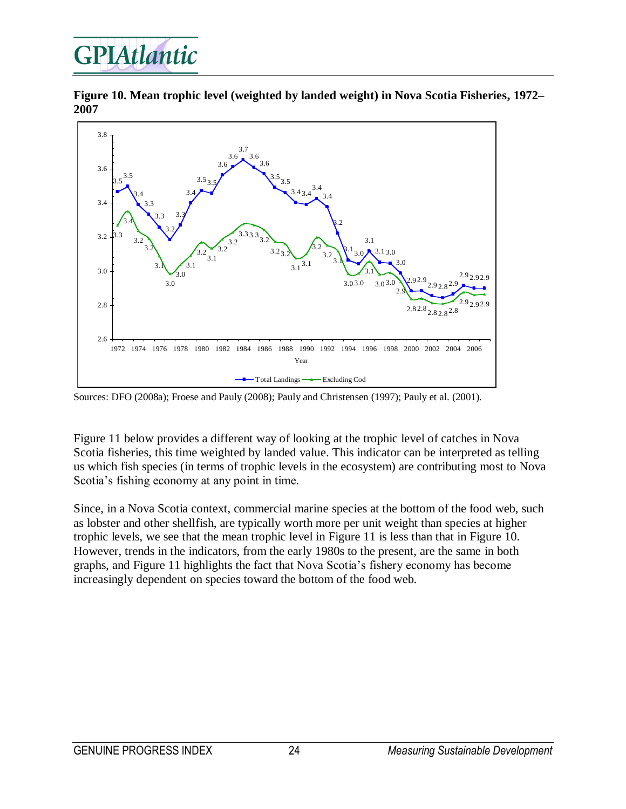**Figure 10. Mean trophic level (weighted by landed weight) in Nova Scotia Fisheries, 1972– 2007**



Sources: DFO (2008a); Froese and Pauly (2008); Pauly and Christensen (1997); Pauly et al. (2001).

Figure 11 below provides a different way of looking at the trophic level of catches in Nova Scotia fisheries, this time weighted by landed value. This indicator can be interpreted as telling us which fish species (in terms of trophic levels in the ecosystem) are contributing most to Nova Scotia's fishing economy at any point in time.

Since, in a Nova Scotia context, commercial marine species at the bottom of the food web, such as lobster and other shellfish, are typically worth more per unit weight than species at higher trophic levels, we see that the mean trophic level in Figure 11 is less than that in Figure 10. However, trends in the indicators, from the early 1980s to the present, are the same in both graphs, and Figure 11 highlights the fact that Nova Scotia's fishery economy has become increasingly dependent on species toward the bottom of the food web.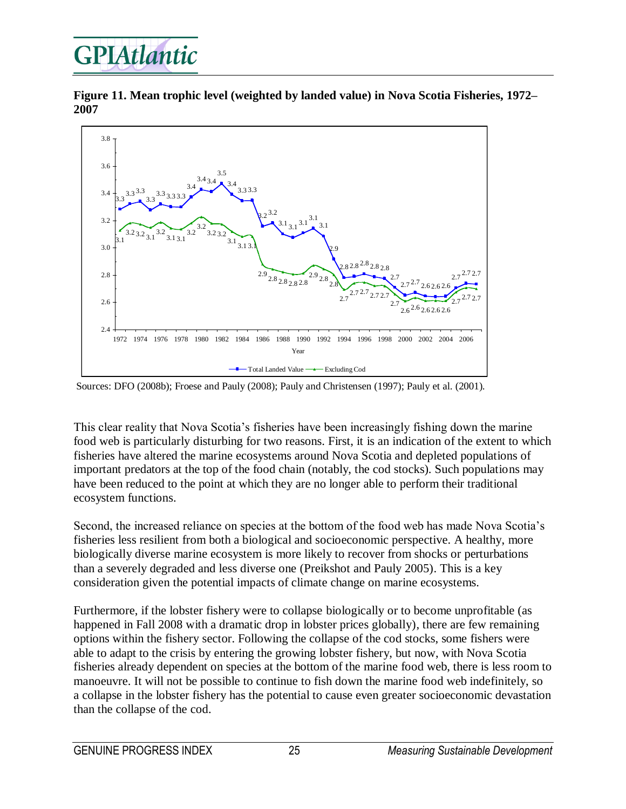

**Figure 11. Mean trophic level (weighted by landed value) in Nova Scotia Fisheries, 1972– 2007**



Sources: DFO (2008b); Froese and Pauly (2008); Pauly and Christensen (1997); Pauly et al. (2001).

This clear reality that Nova Scotia's fisheries have been increasingly fishing down the marine food web is particularly disturbing for two reasons. First, it is an indication of the extent to which fisheries have altered the marine ecosystems around Nova Scotia and depleted populations of important predators at the top of the food chain (notably, the cod stocks). Such populations may have been reduced to the point at which they are no longer able to perform their traditional ecosystem functions.

Second, the increased reliance on species at the bottom of the food web has made Nova Scotia's fisheries less resilient from both a biological and socioeconomic perspective. A healthy, more biologically diverse marine ecosystem is more likely to recover from shocks or perturbations than a severely degraded and less diverse one (Preikshot and Pauly 2005). This is a key consideration given the potential impacts of climate change on marine ecosystems.

Furthermore, if the lobster fishery were to collapse biologically or to become unprofitable (as happened in Fall 2008 with a dramatic drop in lobster prices globally), there are few remaining options within the fishery sector. Following the collapse of the cod stocks, some fishers were able to adapt to the crisis by entering the growing lobster fishery, but now, with Nova Scotia fisheries already dependent on species at the bottom of the marine food web, there is less room to manoeuvre. It will not be possible to continue to fish down the marine food web indefinitely, so a collapse in the lobster fishery has the potential to cause even greater socioeconomic devastation than the collapse of the cod.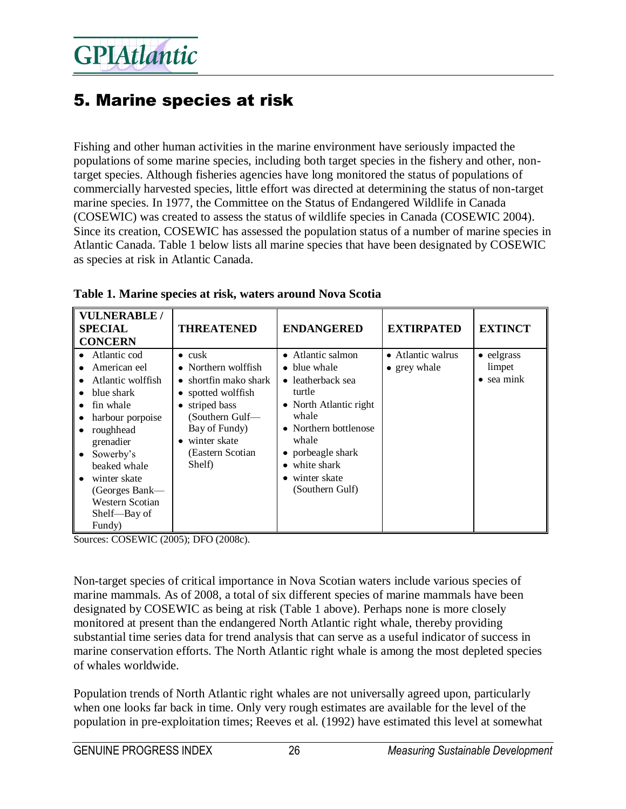### 5. Marine species at risk

Fishing and other human activities in the marine environment have seriously impacted the populations of some marine species, including both target species in the fishery and other, nontarget species. Although fisheries agencies have long monitored the status of populations of commercially harvested species, little effort was directed at determining the status of non-target marine species. In 1977, the Committee on the Status of Endangered Wildlife in Canada (COSEWIC) was created to assess the status of wildlife species in Canada (COSEWIC 2004). Since its creation, COSEWIC has assessed the population status of a number of marine species in Atlantic Canada. Table 1 below lists all marine species that have been designated by COSEWIC as species at risk in Atlantic Canada.

| <b>VULNERABLE /</b><br><b>SPECIAL</b><br><b>CONCERN</b>                                                                                                                                                                                | <b>THREATENED</b>                                                                                                                                                                         | <b>ENDANGERED</b>                                                                                                                                                                                                                 | <b>EXTIRPATED</b>                 | <b>EXTINCT</b>                                     |
|----------------------------------------------------------------------------------------------------------------------------------------------------------------------------------------------------------------------------------------|-------------------------------------------------------------------------------------------------------------------------------------------------------------------------------------------|-----------------------------------------------------------------------------------------------------------------------------------------------------------------------------------------------------------------------------------|-----------------------------------|----------------------------------------------------|
| Atlantic cod<br>American eel<br>Atlantic wolffish<br>blue shark<br>fin whale<br>harbour porpoise<br>roughhead<br>grenadier<br>Sowerby's<br>beaked whale<br>winter skate<br>(Georges Bank-<br>Western Scotian<br>Shelf-Bay of<br>Fundy) | $\bullet$ cusk<br>• Northern wolffish<br>• shortfin mako shark<br>• spotted wolffish<br>striped bass<br>(Southern Gulf-<br>Bay of Fundy)<br>• winter skate<br>(Eastern Scotian)<br>Shelf) | • Atlantic salmon<br>blue whale<br>$\bullet$<br>• leatherback sea<br>turtle<br>• North Atlantic right<br>whale<br>• Northern bottlenose<br>whale<br>• porbeagle shark<br>$\bullet$ white shark<br>winter skate<br>(Southern Gulf) | • Atlantic walrus<br>• grey whale | $\bullet$ eelgrass<br>limpet<br>$\bullet$ sea mink |

|  |  | Table 1. Marine species at risk, waters around Nova Scotia |  |
|--|--|------------------------------------------------------------|--|
|  |  |                                                            |  |

Sources: COSEWIC (2005); DFO (2008c).

Non-target species of critical importance in Nova Scotian waters include various species of marine mammals. As of 2008, a total of six different species of marine mammals have been designated by COSEWIC as being at risk (Table 1 above). Perhaps none is more closely monitored at present than the endangered North Atlantic right whale, thereby providing substantial time series data for trend analysis that can serve as a useful indicator of success in marine conservation efforts. The North Atlantic right whale is among the most depleted species of whales worldwide.

Population trends of North Atlantic right whales are not universally agreed upon, particularly when one looks far back in time. Only very rough estimates are available for the level of the population in pre-exploitation times; Reeves et al. (1992) have estimated this level at somewhat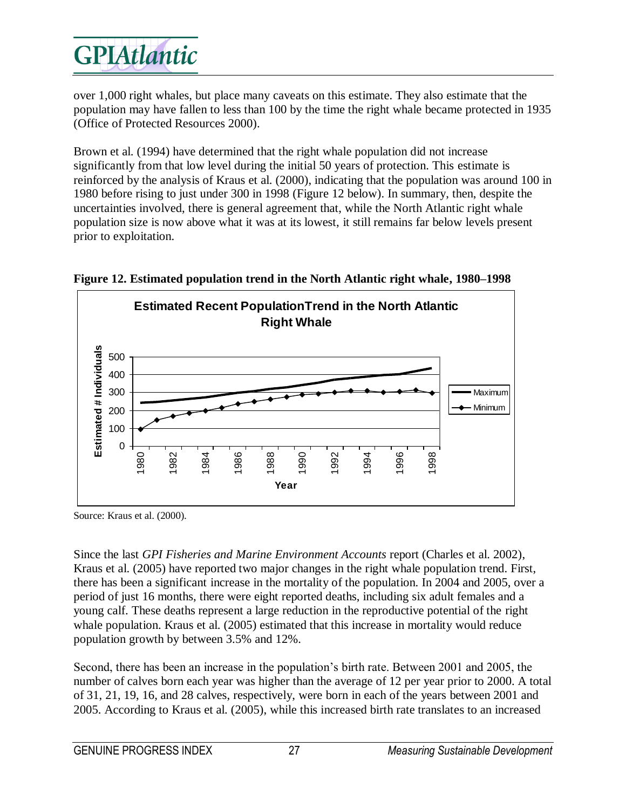

over 1,000 right whales, but place many caveats on this estimate. They also estimate that the population may have fallen to less than 100 by the time the right whale became protected in 1935 (Office of Protected Resources 2000).

Brown et al. (1994) have determined that the right whale population did not increase significantly from that low level during the initial 50 years of protection. This estimate is reinforced by the analysis of Kraus et al. (2000), indicating that the population was around 100 in 1980 before rising to just under 300 in 1998 (Figure 12 below). In summary, then, despite the uncertainties involved, there is general agreement that, while the North Atlantic right whale population size is now above what it was at its lowest, it still remains far below levels present prior to exploitation.



**Figure 12. Estimated population trend in the North Atlantic right whale, 1980–1998**

Source: Kraus et al. (2000).

Since the last *GPI Fisheries and Marine Environment Accounts* report (Charles et al. 2002), Kraus et al. (2005) have reported two major changes in the right whale population trend. First, there has been a significant increase in the mortality of the population. In 2004 and 2005, over a period of just 16 months, there were eight reported deaths, including six adult females and a young calf. These deaths represent a large reduction in the reproductive potential of the right whale population. Kraus et al. (2005) estimated that this increase in mortality would reduce population growth by between 3.5% and 12%.

Second, there has been an increase in the population's birth rate. Between 2001 and 2005, the number of calves born each year was higher than the average of 12 per year prior to 2000. A total of 31, 21, 19, 16, and 28 calves, respectively, were born in each of the years between 2001 and 2005. According to Kraus et al. (2005), while this increased birth rate translates to an increased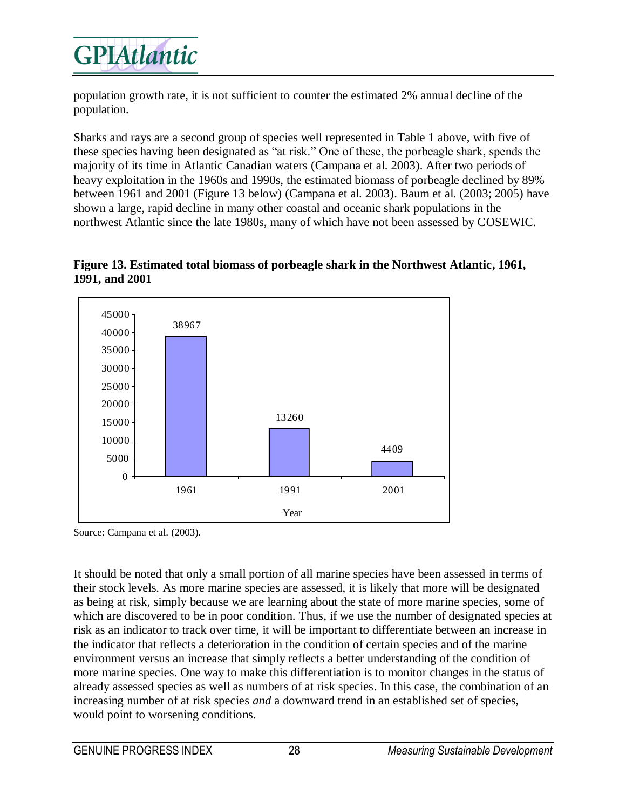

population growth rate, it is not sufficient to counter the estimated 2% annual decline of the population.

Sharks and rays are a second group of species well represented in Table 1 above, with five of these species having been designated as "at risk." One of these, the porbeagle shark, spends the majority of its time in Atlantic Canadian waters (Campana et al. 2003). After two periods of heavy exploitation in the 1960s and 1990s, the estimated biomass of porbeagle declined by 89% between 1961 and 2001 (Figure 13 below) (Campana et al. 2003). Baum et al. (2003; 2005) have shown a large, rapid decline in many other coastal and oceanic shark populations in the northwest Atlantic since the late 1980s, many of which have not been assessed by COSEWIC.





Source: Campana et al. (2003).

It should be noted that only a small portion of all marine species have been assessed in terms of their stock levels. As more marine species are assessed, it is likely that more will be designated as being at risk, simply because we are learning about the state of more marine species, some of which are discovered to be in poor condition. Thus, if we use the number of designated species at risk as an indicator to track over time, it will be important to differentiate between an increase in the indicator that reflects a deterioration in the condition of certain species and of the marine environment versus an increase that simply reflects a better understanding of the condition of more marine species. One way to make this differentiation is to monitor changes in the status of already assessed species as well as numbers of at risk species. In this case, the combination of an increasing number of at risk species *and* a downward trend in an established set of species, would point to worsening conditions.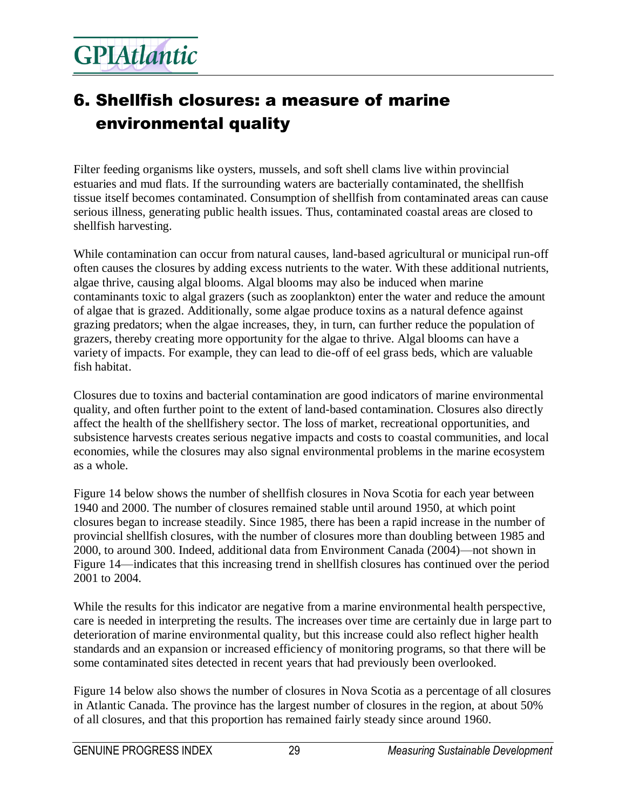### 6. Shellfish closures: a measure of marine environmental quality

Filter feeding organisms like oysters, mussels, and soft shell clams live within provincial estuaries and mud flats. If the surrounding waters are bacterially contaminated, the shellfish tissue itself becomes contaminated. Consumption of shellfish from contaminated areas can cause serious illness, generating public health issues. Thus, contaminated coastal areas are closed to shellfish harvesting.

While contamination can occur from natural causes, land-based agricultural or municipal run-off often causes the closures by adding excess nutrients to the water. With these additional nutrients, algae thrive, causing algal blooms. Algal blooms may also be induced when marine contaminants toxic to algal grazers (such as zooplankton) enter the water and reduce the amount of algae that is grazed. Additionally, some algae produce toxins as a natural defence against grazing predators; when the algae increases, they, in turn, can further reduce the population of grazers, thereby creating more opportunity for the algae to thrive. Algal blooms can have a variety of impacts. For example, they can lead to die-off of eel grass beds, which are valuable fish habitat.

Closures due to toxins and bacterial contamination are good indicators of marine environmental quality, and often further point to the extent of land-based contamination. Closures also directly affect the health of the shellfishery sector. The loss of market, recreational opportunities, and subsistence harvests creates serious negative impacts and costs to coastal communities, and local economies, while the closures may also signal environmental problems in the marine ecosystem as a whole.

Figure 14 below shows the number of shellfish closures in Nova Scotia for each year between 1940 and 2000. The number of closures remained stable until around 1950, at which point closures began to increase steadily. Since 1985, there has been a rapid increase in the number of provincial shellfish closures, with the number of closures more than doubling between 1985 and 2000, to around 300. Indeed, additional data from Environment Canada (2004)—not shown in Figure 14—indicates that this increasing trend in shellfish closures has continued over the period 2001 to 2004.

While the results for this indicator are negative from a marine environmental health perspective, care is needed in interpreting the results. The increases over time are certainly due in large part to deterioration of marine environmental quality, but this increase could also reflect higher health standards and an expansion or increased efficiency of monitoring programs, so that there will be some contaminated sites detected in recent years that had previously been overlooked.

Figure 14 below also shows the number of closures in Nova Scotia as a percentage of all closures in Atlantic Canada. The province has the largest number of closures in the region, at about 50% of all closures, and that this proportion has remained fairly steady since around 1960.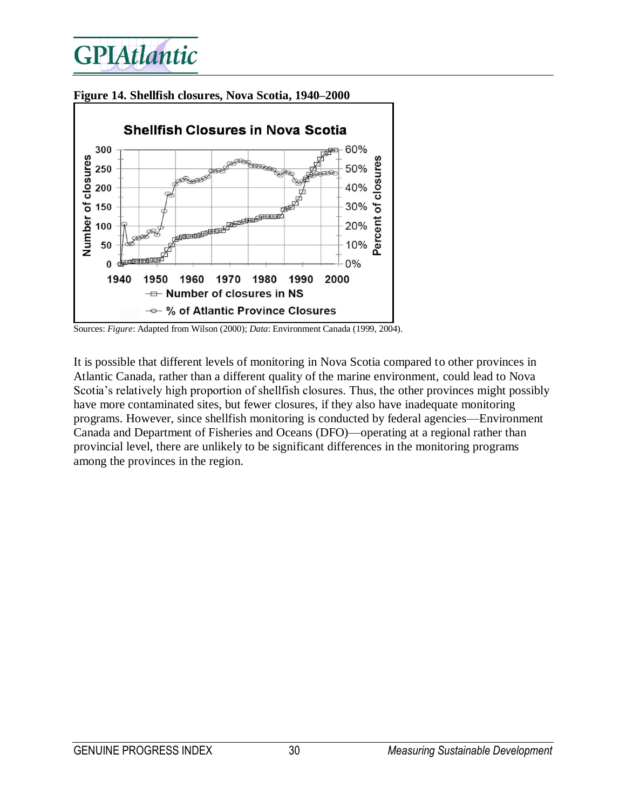

**Figure 14. Shellfish closures, Nova Scotia, 1940–2000**

It is possible that different levels of monitoring in Nova Scotia compared to other provinces in Atlantic Canada, rather than a different quality of the marine environment, could lead to Nova Scotia's relatively high proportion of shellfish closures. Thus, the other provinces might possibly have more contaminated sites, but fewer closures, if they also have inadequate monitoring programs. However, since shellfish monitoring is conducted by federal agencies—Environment Canada and Department of Fisheries and Oceans (DFO)—operating at a regional rather than provincial level, there are unlikely to be significant differences in the monitoring programs among the provinces in the region.

Sources: *Figure*: Adapted from Wilson (2000); *Data*: Environment Canada (1999, 2004).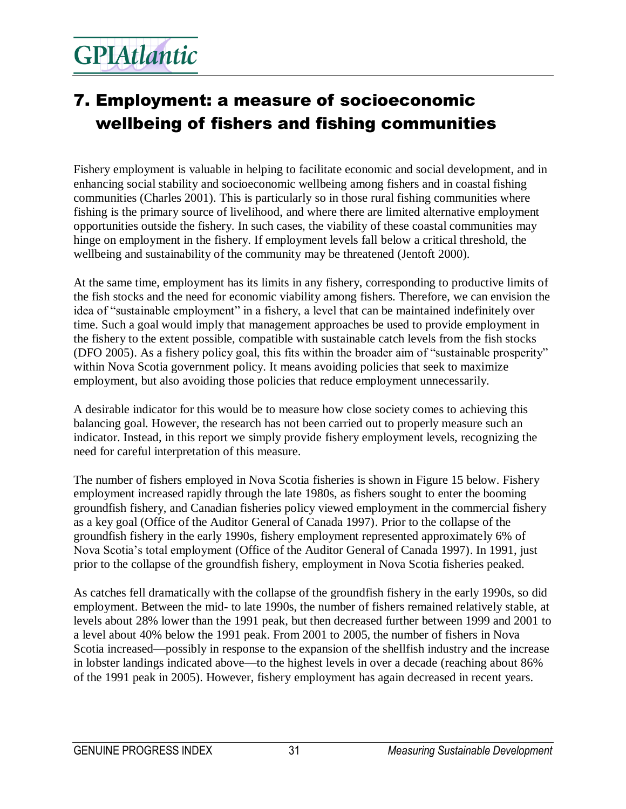### 7. Employment: a measure of socioeconomic wellbeing of fishers and fishing communities

Fishery employment is valuable in helping to facilitate economic and social development, and in enhancing social stability and socioeconomic wellbeing among fishers and in coastal fishing communities (Charles 2001). This is particularly so in those rural fishing communities where fishing is the primary source of livelihood, and where there are limited alternative employment opportunities outside the fishery. In such cases, the viability of these coastal communities may hinge on employment in the fishery. If employment levels fall below a critical threshold, the wellbeing and sustainability of the community may be threatened (Jentoft 2000).

At the same time, employment has its limits in any fishery, corresponding to productive limits of the fish stocks and the need for economic viability among fishers. Therefore, we can envision the idea of "sustainable employment" in a fishery, a level that can be maintained indefinitely over time. Such a goal would imply that management approaches be used to provide employment in the fishery to the extent possible, compatible with sustainable catch levels from the fish stocks (DFO 2005). As a fishery policy goal, this fits within the broader aim of "sustainable prosperity" within Nova Scotia government policy. It means avoiding policies that seek to maximize employment, but also avoiding those policies that reduce employment unnecessarily.

A desirable indicator for this would be to measure how close society comes to achieving this balancing goal. However, the research has not been carried out to properly measure such an indicator. Instead, in this report we simply provide fishery employment levels, recognizing the need for careful interpretation of this measure.

The number of fishers employed in Nova Scotia fisheries is shown in Figure 15 below. Fishery employment increased rapidly through the late 1980s, as fishers sought to enter the booming groundfish fishery, and Canadian fisheries policy viewed employment in the commercial fishery as a key goal (Office of the Auditor General of Canada 1997). Prior to the collapse of the groundfish fishery in the early 1990s, fishery employment represented approximately 6% of Nova Scotia's total employment (Office of the Auditor General of Canada 1997). In 1991, just prior to the collapse of the groundfish fishery, employment in Nova Scotia fisheries peaked.

As catches fell dramatically with the collapse of the groundfish fishery in the early 1990s, so did employment. Between the mid- to late 1990s, the number of fishers remained relatively stable, at levels about 28% lower than the 1991 peak, but then decreased further between 1999 and 2001 to a level about 40% below the 1991 peak. From 2001 to 2005, the number of fishers in Nova Scotia increased—possibly in response to the expansion of the shellfish industry and the increase in lobster landings indicated above—to the highest levels in over a decade (reaching about 86% of the 1991 peak in 2005). However, fishery employment has again decreased in recent years.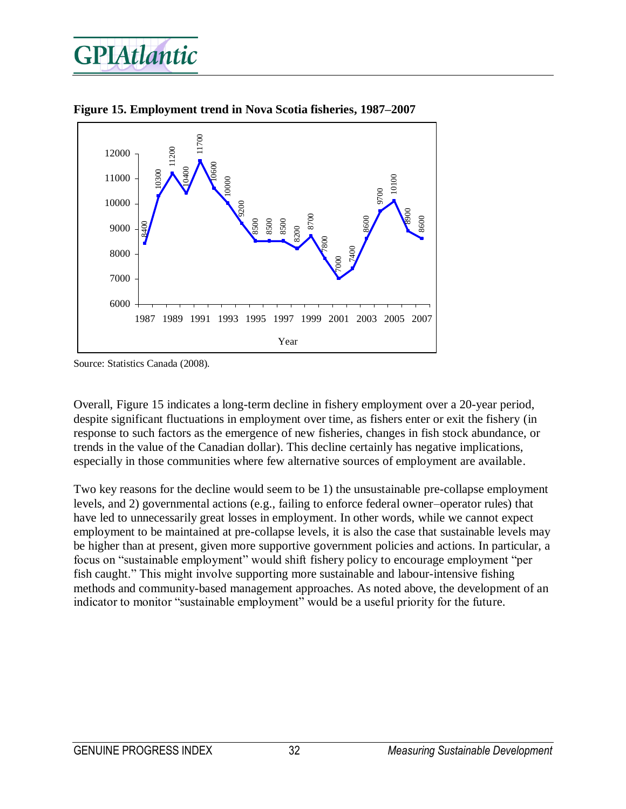



**Figure 15. Employment trend in Nova Scotia fisheries, 1987–2007**

Overall, Figure 15 indicates a long-term decline in fishery employment over a 20-year period, despite significant fluctuations in employment over time, as fishers enter or exit the fishery (in response to such factors as the emergence of new fisheries, changes in fish stock abundance, or trends in the value of the Canadian dollar). This decline certainly has negative implications, especially in those communities where few alternative sources of employment are available.

Two key reasons for the decline would seem to be 1) the unsustainable pre-collapse employment levels, and 2) governmental actions (e.g., failing to enforce federal owner–operator rules) that have led to unnecessarily great losses in employment. In other words, while we cannot expect employment to be maintained at pre-collapse levels, it is also the case that sustainable levels may be higher than at present, given more supportive government policies and actions. In particular, a focus on "sustainable employment" would shift fishery policy to encourage employment "per fish caught." This might involve supporting more sustainable and labour-intensive fishing methods and community-based management approaches. As noted above, the development of an indicator to monitor "sustainable employment" would be a useful priority for the future.

Source: Statistics Canada (2008).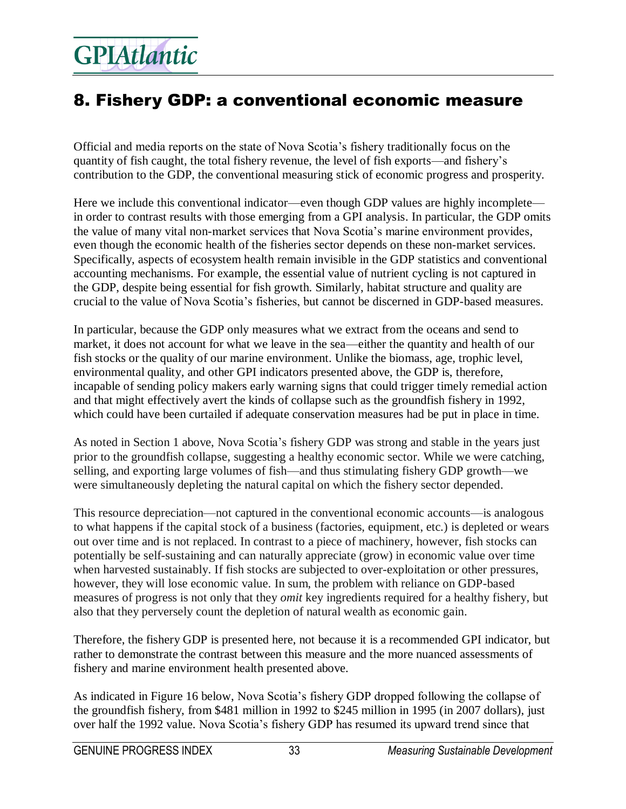### 8. Fishery GDP: a conventional economic measure

Official and media reports on the state of Nova Scotia's fishery traditionally focus on the quantity of fish caught, the total fishery revenue, the level of fish exports—and fishery's contribution to the GDP, the conventional measuring stick of economic progress and prosperity.

Here we include this conventional indicator—even though GDP values are highly incomplete in order to contrast results with those emerging from a GPI analysis. In particular, the GDP omits the value of many vital non-market services that Nova Scotia's marine environment provides, even though the economic health of the fisheries sector depends on these non-market services. Specifically, aspects of ecosystem health remain invisible in the GDP statistics and conventional accounting mechanisms. For example, the essential value of nutrient cycling is not captured in the GDP, despite being essential for fish growth. Similarly, habitat structure and quality are crucial to the value of Nova Scotia's fisheries, but cannot be discerned in GDP-based measures.

In particular, because the GDP only measures what we extract from the oceans and send to market, it does not account for what we leave in the sea—either the quantity and health of our fish stocks or the quality of our marine environment. Unlike the biomass, age, trophic level, environmental quality, and other GPI indicators presented above, the GDP is, therefore, incapable of sending policy makers early warning signs that could trigger timely remedial action and that might effectively avert the kinds of collapse such as the groundfish fishery in 1992, which could have been curtailed if adequate conservation measures had be put in place in time.

As noted in Section 1 above, Nova Scotia's fishery GDP was strong and stable in the years just prior to the groundfish collapse, suggesting a healthy economic sector. While we were catching, selling, and exporting large volumes of fish—and thus stimulating fishery GDP growth—we were simultaneously depleting the natural capital on which the fishery sector depended.

This resource depreciation—not captured in the conventional economic accounts—is analogous to what happens if the capital stock of a business (factories, equipment, etc.) is depleted or wears out over time and is not replaced. In contrast to a piece of machinery, however, fish stocks can potentially be self-sustaining and can naturally appreciate (grow) in economic value over time when harvested sustainably. If fish stocks are subjected to over-exploitation or other pressures, however, they will lose economic value. In sum, the problem with reliance on GDP-based measures of progress is not only that they *omit* key ingredients required for a healthy fishery, but also that they perversely count the depletion of natural wealth as economic gain.

Therefore, the fishery GDP is presented here, not because it is a recommended GPI indicator, but rather to demonstrate the contrast between this measure and the more nuanced assessments of fishery and marine environment health presented above.

As indicated in Figure 16 below, Nova Scotia's fishery GDP dropped following the collapse of the groundfish fishery, from \$481 million in 1992 to \$245 million in 1995 (in 2007 dollars), just over half the 1992 value. Nova Scotia's fishery GDP has resumed its upward trend since that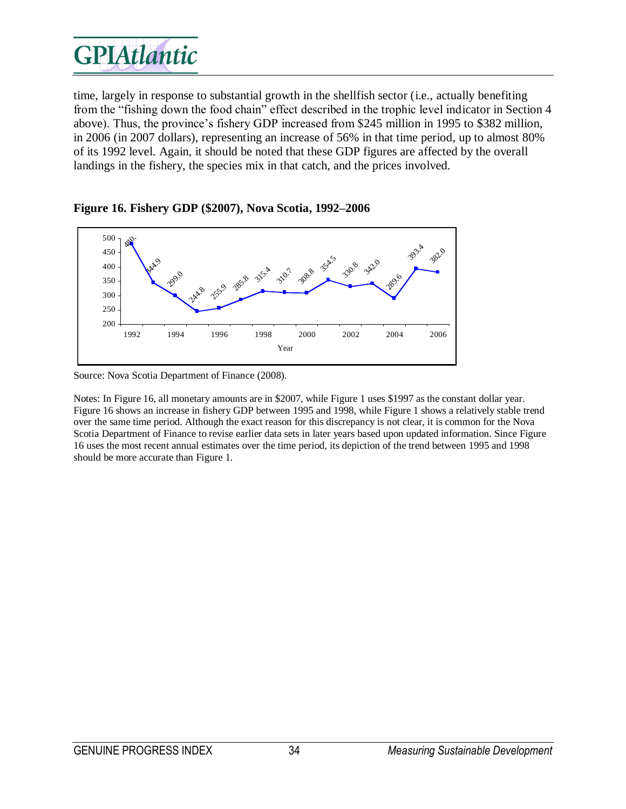time, largely in response to substantial growth in the shellfish sector (i.e., actually benefiting from the "fishing down the food chain" effect described in the trophic level indicator in Section 4 above). Thus, the province's fishery GDP increased from \$245 million in 1995 to \$382 million, in 2006 (in 2007 dollars), representing an increase of 56% in that time period, up to almost 80% of its 1992 level. Again, it should be noted that these GDP figures are affected by the overall landings in the fishery, the species mix in that catch, and the prices involved.



#### **Figure 16. Fishery GDP (\$2007), Nova Scotia, 1992–2006**

Source: Nova Scotia Department of Finance (2008).

Notes: In Figure 16, all monetary amounts are in \$2007, while Figure 1 uses \$1997 as the constant dollar year. Figure 16 shows an increase in fishery GDP between 1995 and 1998, while Figure 1 shows a relatively stable trend over the same time period. Although the exact reason for this discrepancy is not clear, it is common for the Nova Scotia Department of Finance to revise earlier data sets in later years based upon updated information. Since Figure 16 uses the most recent annual estimates over the time period, its depiction of the trend between 1995 and 1998 should be more accurate than Figure 1.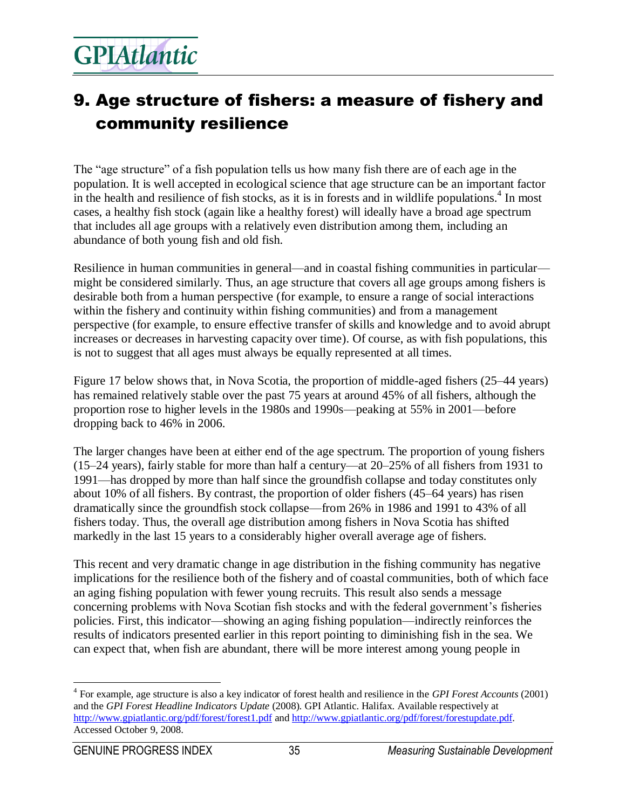### 9. Age structure of fishers: a measure of fishery and community resilience

The "age structure" of a fish population tells us how many fish there are of each age in the population. It is well accepted in ecological science that age structure can be an important factor in the health and resilience of fish stocks, as it is in forests and in wildlife populations.<sup>4</sup> In most cases, a healthy fish stock (again like a healthy forest) will ideally have a broad age spectrum that includes all age groups with a relatively even distribution among them, including an abundance of both young fish and old fish.

Resilience in human communities in general—and in coastal fishing communities in particular might be considered similarly. Thus, an age structure that covers all age groups among fishers is desirable both from a human perspective (for example, to ensure a range of social interactions within the fishery and continuity within fishing communities) and from a management perspective (for example, to ensure effective transfer of skills and knowledge and to avoid abrupt increases or decreases in harvesting capacity over time). Of course, as with fish populations, this is not to suggest that all ages must always be equally represented at all times.

Figure 17 below shows that, in Nova Scotia, the proportion of middle-aged fishers (25–44 years) has remained relatively stable over the past 75 years at around 45% of all fishers, although the proportion rose to higher levels in the 1980s and 1990s—peaking at 55% in 2001—before dropping back to 46% in 2006.

The larger changes have been at either end of the age spectrum. The proportion of young fishers (15–24 years), fairly stable for more than half a century—at 20–25% of all fishers from 1931 to 1991—has dropped by more than half since the groundfish collapse and today constitutes only about 10% of all fishers. By contrast, the proportion of older fishers (45–64 years) has risen dramatically since the groundfish stock collapse—from 26% in 1986 and 1991 to 43% of all fishers today. Thus, the overall age distribution among fishers in Nova Scotia has shifted markedly in the last 15 years to a considerably higher overall average age of fishers.

This recent and very dramatic change in age distribution in the fishing community has negative implications for the resilience both of the fishery and of coastal communities, both of which face an aging fishing population with fewer young recruits. This result also sends a message concerning problems with Nova Scotian fish stocks and with the federal government's fisheries policies. First, this indicator—showing an aging fishing population—indirectly reinforces the results of indicators presented earlier in this report pointing to diminishing fish in the sea. We can expect that, when fish are abundant, there will be more interest among young people in

 $\overline{a}$ 

<sup>4</sup> For example, age structure is also a key indicator of forest health and resilience in the *GPI Forest Accounts* (2001) and the *GPI Forest Headline Indicators Update* (2008). GPI Atlantic. Halifax. Available respectively at <http://www.gpiatlantic.org/pdf/forest/forest1.pdf> an[d http://www.gpiatlantic.org/pdf/forest/forestupdate.pdf.](http://www.gpiatlantic.org/pdf/forest/forestupdate.pdf)  Accessed October 9, 2008.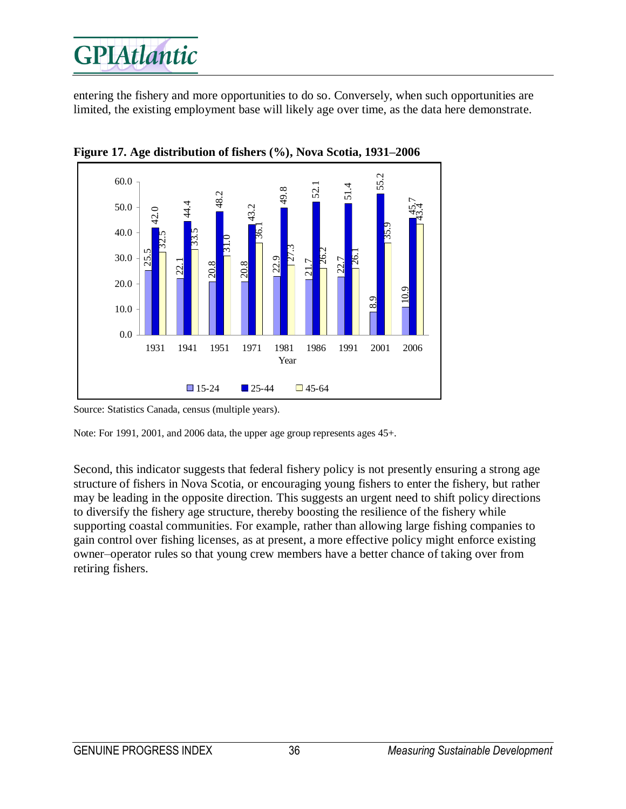entering the fishery and more opportunities to do so. Conversely, when such opportunities are limited, the existing employment base will likely age over time, as the data here demonstrate.



**Figure 17. Age distribution of fishers (%), Nova Scotia, 1931–2006**

Note: For 1991, 2001, and 2006 data, the upper age group represents ages 45+.

Second, this indicator suggests that federal fishery policy is not presently ensuring a strong age structure of fishers in Nova Scotia, or encouraging young fishers to enter the fishery, but rather may be leading in the opposite direction. This suggests an urgent need to shift policy directions to diversify the fishery age structure, thereby boosting the resilience of the fishery while supporting coastal communities. For example, rather than allowing large fishing companies to gain control over fishing licenses, as at present, a more effective policy might enforce existing owner–operator rules so that young crew members have a better chance of taking over from retiring fishers.

Source: Statistics Canada, census (multiple years).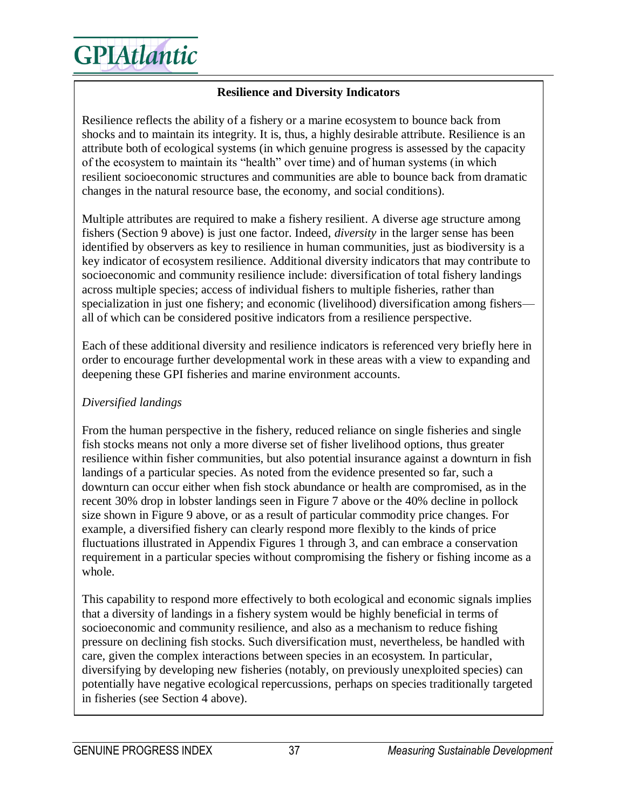

#### **Resilience and Diversity Indicators**

Resilience reflects the ability of a fishery or a marine ecosystem to bounce back from shocks and to maintain its integrity. It is, thus, a highly desirable attribute. Resilience is an attribute both of ecological systems (in which genuine progress is assessed by the capacity of the ecosystem to maintain its "health" over time) and of human systems (in which resilient socioeconomic structures and communities are able to bounce back from dramatic changes in the natural resource base, the economy, and social conditions).

Multiple attributes are required to make a fishery resilient. A diverse age structure among fishers (Section 9 above) is just one factor. Indeed, *diversity* in the larger sense has been identified by observers as key to resilience in human communities, just as biodiversity is a key indicator of ecosystem resilience. Additional diversity indicators that may contribute to socioeconomic and community resilience include: diversification of total fishery landings across multiple species; access of individual fishers to multiple fisheries, rather than specialization in just one fishery; and economic (livelihood) diversification among fishers all of which can be considered positive indicators from a resilience perspective.

Each of these additional diversity and resilience indicators is referenced very briefly here in order to encourage further developmental work in these areas with a view to expanding and deepening these GPI fisheries and marine environment accounts.

#### *Diversified landings*

From the human perspective in the fishery, reduced reliance on single fisheries and single fish stocks means not only a more diverse set of fisher livelihood options, thus greater resilience within fisher communities, but also potential insurance against a downturn in fish landings of a particular species. As noted from the evidence presented so far, such a downturn can occur either when fish stock abundance or health are compromised, as in the recent 30% drop in lobster landings seen in Figure 7 above or the 40% decline in pollock size shown in Figure 9 above, or as a result of particular commodity price changes. For example, a diversified fishery can clearly respond more flexibly to the kinds of price fluctuations illustrated in Appendix Figures 1 through 3, and can embrace a conservation requirement in a particular species without compromising the fishery or fishing income as a whole.

This capability to respond more effectively to both ecological and economic signals implies that a diversity of landings in a fishery system would be highly beneficial in terms of socioeconomic and community resilience, and also as a mechanism to reduce fishing pressure on declining fish stocks. Such diversification must, nevertheless, be handled with care, given the complex interactions between species in an ecosystem. In particular, diversifying by developing new fisheries (notably, on previously unexploited species) can potentially have negative ecological repercussions, perhaps on species traditionally targeted in fisheries (see Section 4 above).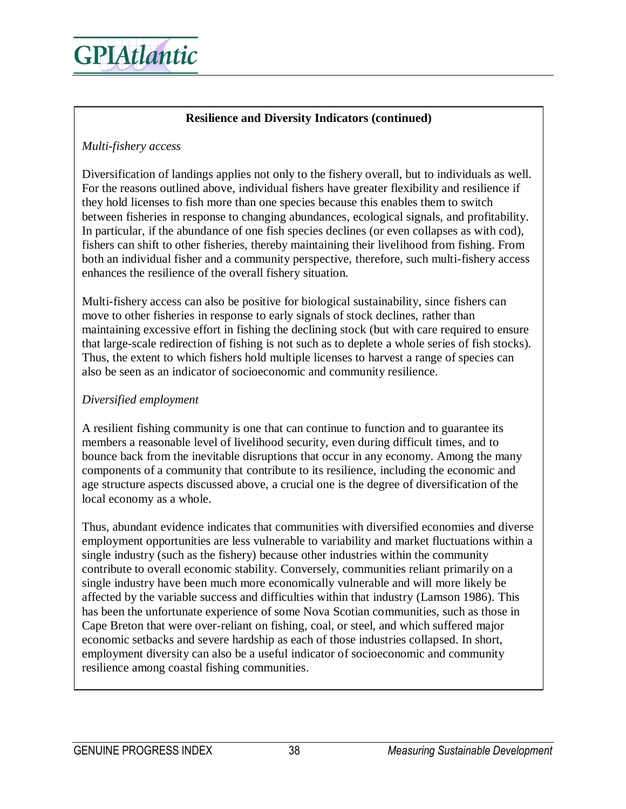

#### **Resilience and Diversity Indicators (continued)**

#### *Multi-fishery access*

Diversification of landings applies not only to the fishery overall, but to individuals as well. For the reasons outlined above, individual fishers have greater flexibility and resilience if they hold licenses to fish more than one species because this enables them to switch between fisheries in response to changing abundances, ecological signals, and profitability. In particular, if the abundance of one fish species declines (or even collapses as with cod), fishers can shift to other fisheries, thereby maintaining their livelihood from fishing. From both an individual fisher and a community perspective, therefore, such multi-fishery access enhances the resilience of the overall fishery situation.

Multi-fishery access can also be positive for biological sustainability, since fishers can move to other fisheries in response to early signals of stock declines, rather than maintaining excessive effort in fishing the declining stock (but with care required to ensure that large-scale redirection of fishing is not such as to deplete a whole series of fish stocks). Thus, the extent to which fishers hold multiple licenses to harvest a range of species can also be seen as an indicator of socioeconomic and community resilience.

#### *Diversified employment*

A resilient fishing community is one that can continue to function and to guarantee its members a reasonable level of livelihood security, even during difficult times, and to bounce back from the inevitable disruptions that occur in any economy. Among the many components of a community that contribute to its resilience, including the economic and age structure aspects discussed above, a crucial one is the degree of diversification of the local economy as a whole.

Thus, abundant evidence indicates that communities with diversified economies and diverse employment opportunities are less vulnerable to variability and market fluctuations within a single industry (such as the fishery) because other industries within the community contribute to overall economic stability. Conversely, communities reliant primarily on a single industry have been much more economically vulnerable and will more likely be affected by the variable success and difficulties within that industry (Lamson 1986). This has been the unfortunate experience of some Nova Scotian communities, such as those in Cape Breton that were over-reliant on fishing, coal, or steel, and which suffered major economic setbacks and severe hardship as each of those industries collapsed. In short, employment diversity can also be a useful indicator of socioeconomic and community resilience among coastal fishing communities.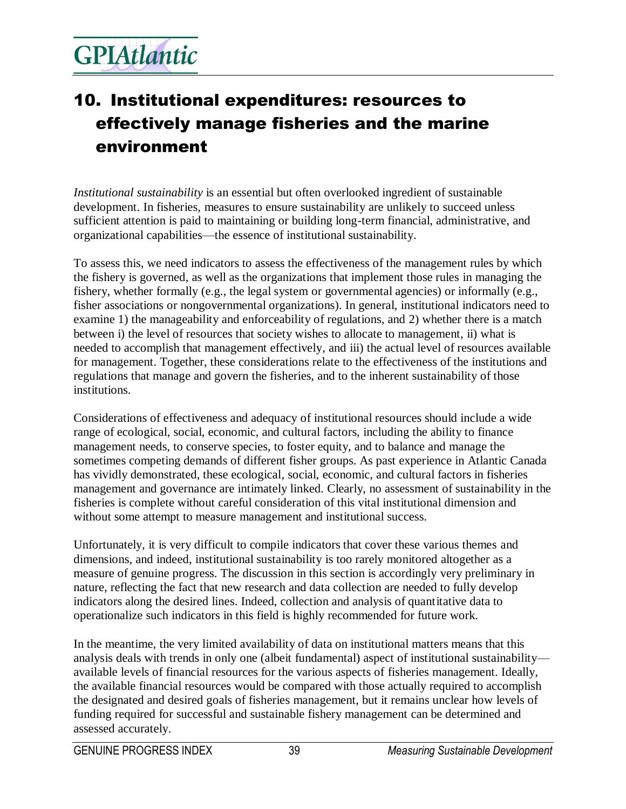### 10. Institutional expenditures: resources to effectively manage fisheries and the marine environment

*Institutional sustainability* is an essential but often overlooked ingredient of sustainable development. In fisheries, measures to ensure sustainability are unlikely to succeed unless sufficient attention is paid to maintaining or building long-term financial, administrative, and organizational capabilities—the essence of institutional sustainability.

To assess this, we need indicators to assess the effectiveness of the management rules by which the fishery is governed, as well as the organizations that implement those rules in managing the fishery, whether formally (e.g., the legal system or governmental agencies) or informally (e.g., fisher associations or nongovernmental organizations). In general, institutional indicators need to examine 1) the manageability and enforceability of regulations, and 2) whether there is a match between i) the level of resources that society wishes to allocate to management, ii) what is needed to accomplish that management effectively, and iii) the actual level of resources available for management. Together, these considerations relate to the effectiveness of the institutions and regulations that manage and govern the fisheries, and to the inherent sustainability of those institutions.

Considerations of effectiveness and adequacy of institutional resources should include a wide range of ecological, social, economic, and cultural factors, including the ability to finance management needs, to conserve species, to foster equity, and to balance and manage the sometimes competing demands of different fisher groups. As past experience in Atlantic Canada has vividly demonstrated, these ecological, social, economic, and cultural factors in fisheries management and governance are intimately linked. Clearly, no assessment of sustainability in the fisheries is complete without careful consideration of this vital institutional dimension and without some attempt to measure management and institutional success.

Unfortunately, it is very difficult to compile indicators that cover these various themes and dimensions, and indeed, institutional sustainability is too rarely monitored altogether as a measure of genuine progress. The discussion in this section is accordingly very preliminary in nature, reflecting the fact that new research and data collection are needed to fully develop indicators along the desired lines. Indeed, collection and analysis of quantitative data to operationalize such indicators in this field is highly recommended for future work.

In the meantime, the very limited availability of data on institutional matters means that this analysis deals with trends in only one (albeit fundamental) aspect of institutional sustainability available levels of financial resources for the various aspects of fisheries management. Ideally, the available financial resources would be compared with those actually required to accomplish the designated and desired goals of fisheries management, but it remains unclear how levels of funding required for successful and sustainable fishery management can be determined and assessed accurately.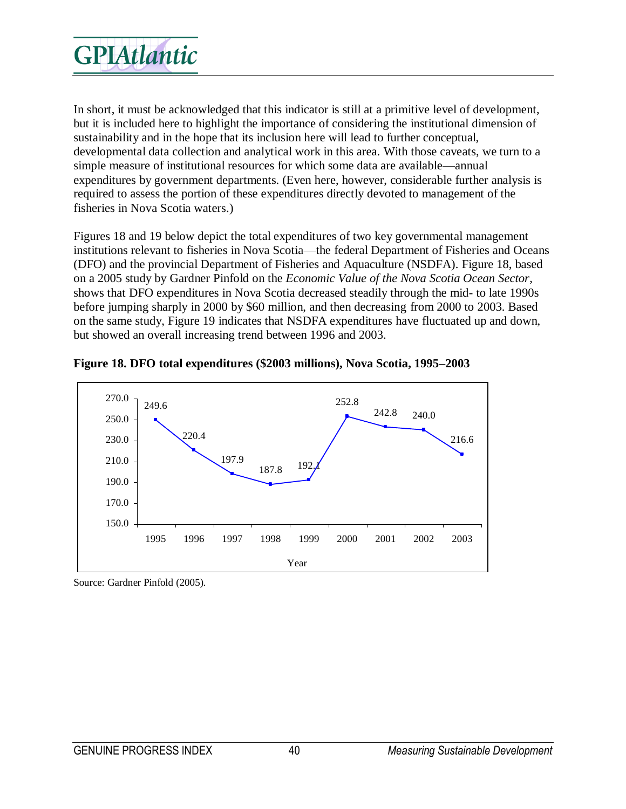

In short, it must be acknowledged that this indicator is still at a primitive level of development, but it is included here to highlight the importance of considering the institutional dimension of sustainability and in the hope that its inclusion here will lead to further conceptual, developmental data collection and analytical work in this area. With those caveats, we turn to a simple measure of institutional resources for which some data are available—annual expenditures by government departments. (Even here, however, considerable further analysis is required to assess the portion of these expenditures directly devoted to management of the fisheries in Nova Scotia waters.)

Figures 18 and 19 below depict the total expenditures of two key governmental management institutions relevant to fisheries in Nova Scotia—the federal Department of Fisheries and Oceans (DFO) and the provincial Department of Fisheries and Aquaculture (NSDFA). Figure 18, based on a 2005 study by Gardner Pinfold on the *Economic Value of the Nova Scotia Ocean Sector*, shows that DFO expenditures in Nova Scotia decreased steadily through the mid- to late 1990s before jumping sharply in 2000 by \$60 million, and then decreasing from 2000 to 2003. Based on the same study, Figure 19 indicates that NSDFA expenditures have fluctuated up and down, but showed an overall increasing trend between 1996 and 2003.





Source: Gardner Pinfold (2005).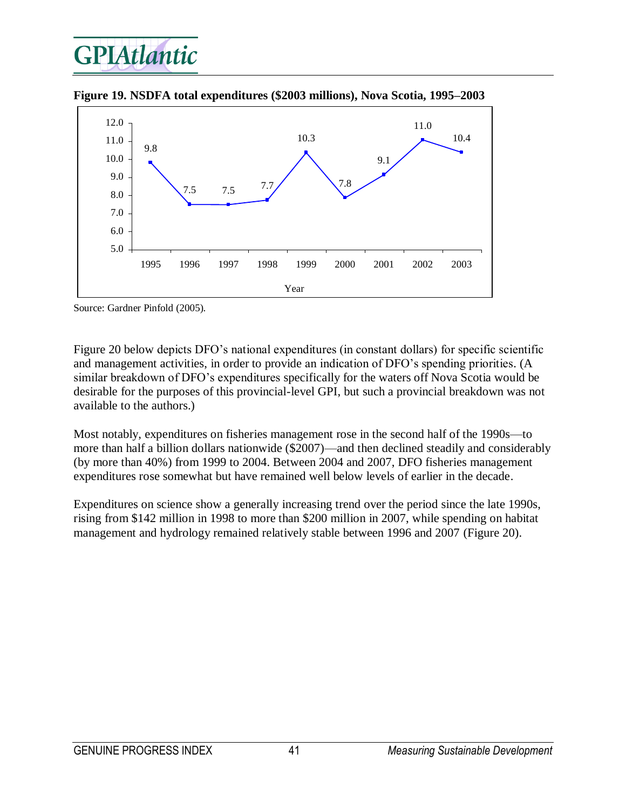



**Figure 19. NSDFA total expenditures (\$2003 millions), Nova Scotia, 1995–2003** 

Source: Gardner Pinfold (2005).

Figure 20 below depicts DFO's national expenditures (in constant dollars) for specific scientific and management activities, in order to provide an indication of DFO's spending priorities. (A similar breakdown of DFO's expenditures specifically for the waters off Nova Scotia would be desirable for the purposes of this provincial-level GPI, but such a provincial breakdown was not available to the authors.)

Most notably, expenditures on fisheries management rose in the second half of the 1990s—to more than half a billion dollars nationwide (\$2007)—and then declined steadily and considerably (by more than 40%) from 1999 to 2004. Between 2004 and 2007, DFO fisheries management expenditures rose somewhat but have remained well below levels of earlier in the decade.

Expenditures on science show a generally increasing trend over the period since the late 1990s, rising from \$142 million in 1998 to more than \$200 million in 2007, while spending on habitat management and hydrology remained relatively stable between 1996 and 2007 (Figure 20).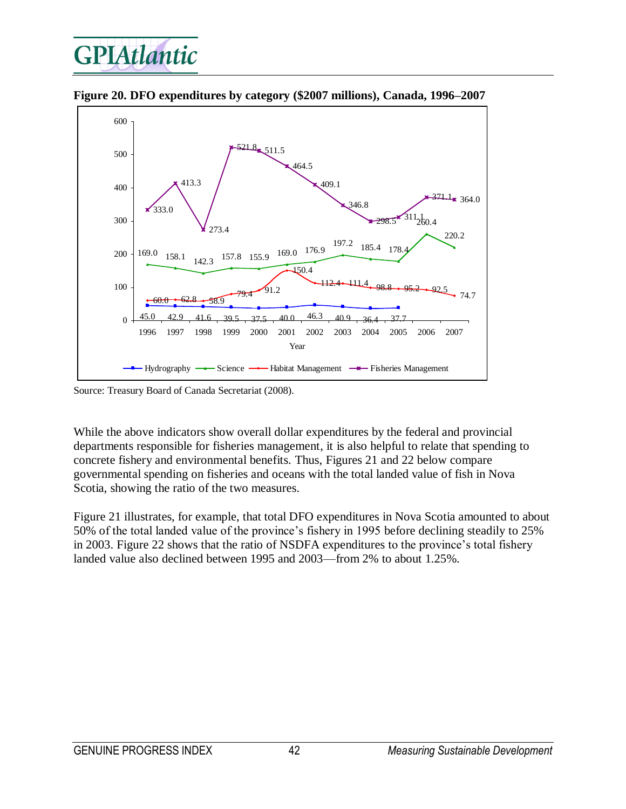

**Figure 20. DFO expenditures by category (\$2007 millions), Canada, 1996–2007** 

Source: Treasury Board of Canada Secretariat (2008).

While the above indicators show overall dollar expenditures by the federal and provincial departments responsible for fisheries management, it is also helpful to relate that spending to concrete fishery and environmental benefits. Thus, Figures 21 and 22 below compare governmental spending on fisheries and oceans with the total landed value of fish in Nova Scotia, showing the ratio of the two measures.

Figure 21 illustrates, for example, that total DFO expenditures in Nova Scotia amounted to about 50% of the total landed value of the province's fishery in 1995 before declining steadily to 25% in 2003. Figure 22 shows that the ratio of NSDFA expenditures to the province's total fishery landed value also declined between 1995 and 2003—from 2% to about 1.25%.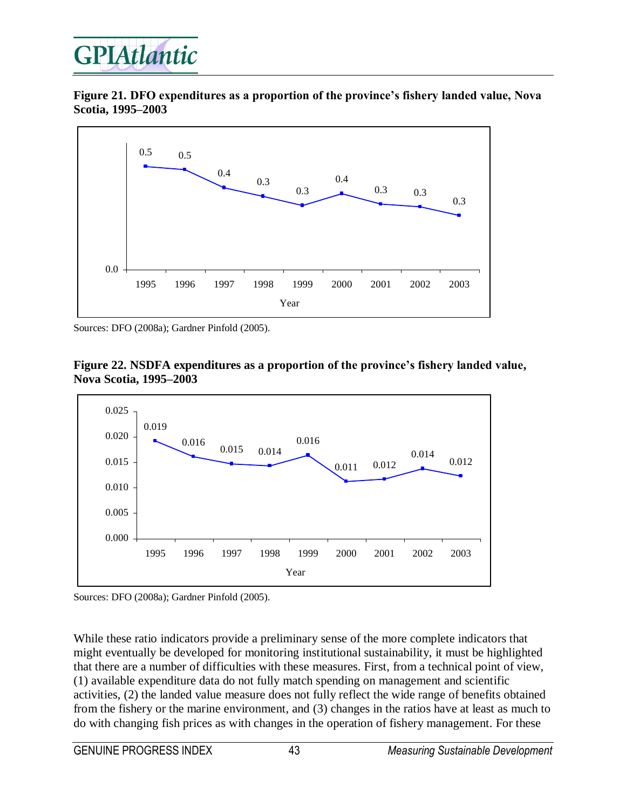

**Figure 21. DFO expenditures as a proportion of the province's fishery landed value, Nova Scotia, 1995–2003**



Sources: DFO (2008a); Gardner Pinfold (2005).





Sources: DFO (2008a); Gardner Pinfold (2005).

While these ratio indicators provide a preliminary sense of the more complete indicators that might eventually be developed for monitoring institutional sustainability, it must be highlighted that there are a number of difficulties with these measures. First, from a technical point of view, (1) available expenditure data do not fully match spending on management and scientific activities, (2) the landed value measure does not fully reflect the wide range of benefits obtained from the fishery or the marine environment, and (3) changes in the ratios have at least as much to do with changing fish prices as with changes in the operation of fishery management. For these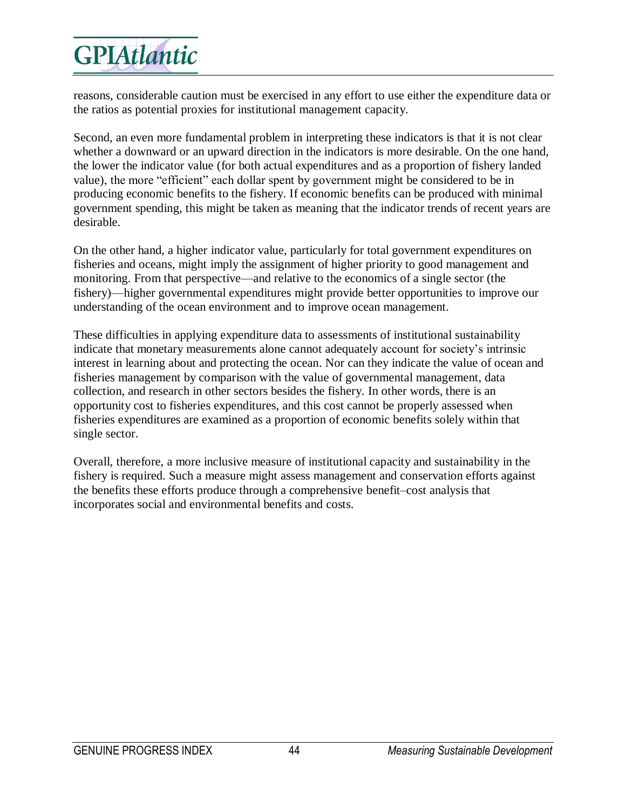reasons, considerable caution must be exercised in any effort to use either the expenditure data or the ratios as potential proxies for institutional management capacity.

Second, an even more fundamental problem in interpreting these indicators is that it is not clear whether a downward or an upward direction in the indicators is more desirable. On the one hand, the lower the indicator value (for both actual expenditures and as a proportion of fishery landed value), the more "efficient" each dollar spent by government might be considered to be in producing economic benefits to the fishery. If economic benefits can be produced with minimal government spending, this might be taken as meaning that the indicator trends of recent years are desirable.

On the other hand, a higher indicator value, particularly for total government expenditures on fisheries and oceans, might imply the assignment of higher priority to good management and monitoring. From that perspective—and relative to the economics of a single sector (the fishery)—higher governmental expenditures might provide better opportunities to improve our understanding of the ocean environment and to improve ocean management.

These difficulties in applying expenditure data to assessments of institutional sustainability indicate that monetary measurements alone cannot adequately account for society's intrinsic interest in learning about and protecting the ocean. Nor can they indicate the value of ocean and fisheries management by comparison with the value of governmental management, data collection, and research in other sectors besides the fishery. In other words, there is an opportunity cost to fisheries expenditures, and this cost cannot be properly assessed when fisheries expenditures are examined as a proportion of economic benefits solely within that single sector.

Overall, therefore, a more inclusive measure of institutional capacity and sustainability in the fishery is required. Such a measure might assess management and conservation efforts against the benefits these efforts produce through a comprehensive benefit–cost analysis that incorporates social and environmental benefits and costs.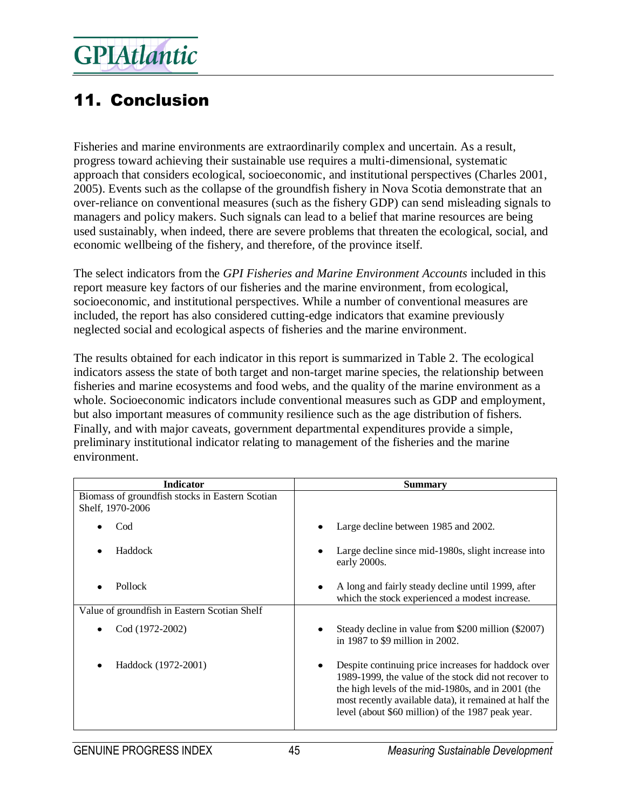### 11. Conclusion

Fisheries and marine environments are extraordinarily complex and uncertain. As a result, progress toward achieving their sustainable use requires a multi-dimensional, systematic approach that considers ecological, socioeconomic, and institutional perspectives (Charles 2001, 2005). Events such as the collapse of the groundfish fishery in Nova Scotia demonstrate that an over-reliance on conventional measures (such as the fishery GDP) can send misleading signals to managers and policy makers. Such signals can lead to a belief that marine resources are being used sustainably, when indeed, there are severe problems that threaten the ecological, social, and economic wellbeing of the fishery, and therefore, of the province itself.

The select indicators from the *GPI Fisheries and Marine Environment Accounts* included in this report measure key factors of our fisheries and the marine environment, from ecological, socioeconomic, and institutional perspectives. While a number of conventional measures are included, the report has also considered cutting-edge indicators that examine previously neglected social and ecological aspects of fisheries and the marine environment.

The results obtained for each indicator in this report is summarized in Table 2. The ecological indicators assess the state of both target and non-target marine species, the relationship between fisheries and marine ecosystems and food webs, and the quality of the marine environment as a whole. Socioeconomic indicators include conventional measures such as GDP and employment, but also important measures of community resilience such as the age distribution of fishers. Finally, and with major caveats, government departmental expenditures provide a simple, preliminary institutional indicator relating to management of the fisheries and the marine environment.

| <b>Indicator</b>                                                    | <b>Summary</b>                                                                                                                                                                                                                                                                   |
|---------------------------------------------------------------------|----------------------------------------------------------------------------------------------------------------------------------------------------------------------------------------------------------------------------------------------------------------------------------|
| Biomass of groundfish stocks in Eastern Scotian<br>Shelf, 1970-2006 |                                                                                                                                                                                                                                                                                  |
| Cod                                                                 | Large decline between 1985 and 2002.                                                                                                                                                                                                                                             |
| Haddock                                                             | Large decline since mid-1980s, slight increase into<br>early 2000s.                                                                                                                                                                                                              |
| <b>Pollock</b>                                                      | A long and fairly steady decline until 1999, after<br>which the stock experienced a modest increase.                                                                                                                                                                             |
| Value of groundfish in Eastern Scotian Shelf                        |                                                                                                                                                                                                                                                                                  |
| Cod (1972-2002)                                                     | Steady decline in value from \$200 million (\$2007)<br>in 1987 to \$9 million in 2002.                                                                                                                                                                                           |
| Haddock (1972-2001)                                                 | Despite continuing price increases for haddock over<br>1989-1999, the value of the stock did not recover to<br>the high levels of the mid-1980s, and in 2001 (the<br>most recently available data), it remained at half the<br>level (about \$60 million) of the 1987 peak year. |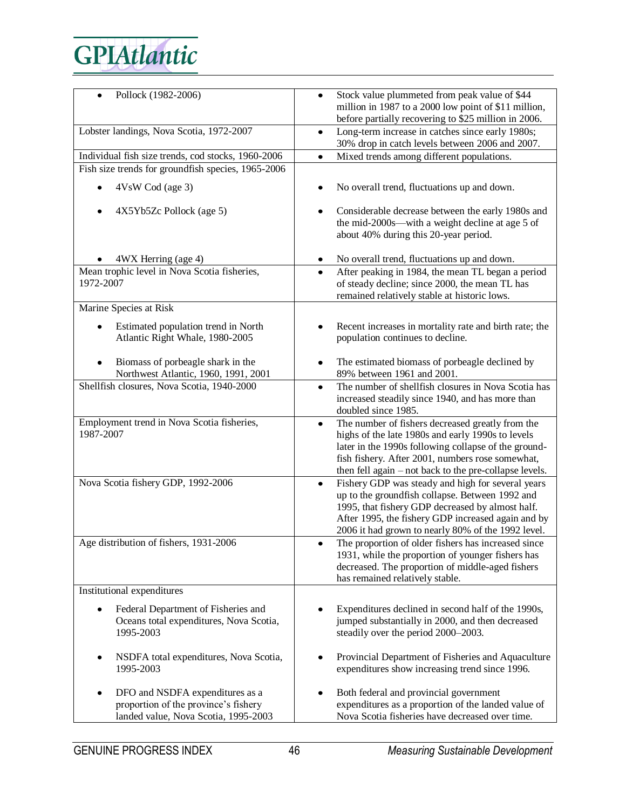| Pollock (1982-2006)                                                                                             | Stock value plummeted from peak value of \$44<br>million in 1987 to a 2000 low point of \$11 million,<br>before partially recovering to \$25 million in 2006.                                                                                                                            |
|-----------------------------------------------------------------------------------------------------------------|------------------------------------------------------------------------------------------------------------------------------------------------------------------------------------------------------------------------------------------------------------------------------------------|
| Lobster landings, Nova Scotia, 1972-2007                                                                        | Long-term increase in catches since early 1980s;<br>٠<br>30% drop in catch levels between 2006 and 2007.                                                                                                                                                                                 |
|                                                                                                                 |                                                                                                                                                                                                                                                                                          |
| Individual fish size trends, cod stocks, 1960-2006                                                              | Mixed trends among different populations.<br>$\bullet$                                                                                                                                                                                                                                   |
| Fish size trends for groundfish species, 1965-2006                                                              |                                                                                                                                                                                                                                                                                          |
| 4VsW Cod (age 3)                                                                                                | No overall trend, fluctuations up and down.                                                                                                                                                                                                                                              |
| 4X5Yb5Zc Pollock (age 5)                                                                                        | Considerable decrease between the early 1980s and<br>the mid-2000s—with a weight decline at age 5 of<br>about 40% during this 20-year period.                                                                                                                                            |
| 4WX Herring (age 4)                                                                                             | No overall trend, fluctuations up and down.<br>٠                                                                                                                                                                                                                                         |
| Mean trophic level in Nova Scotia fisheries,<br>1972-2007                                                       | After peaking in 1984, the mean TL began a period<br>$\bullet$<br>of steady decline; since 2000, the mean TL has<br>remained relatively stable at historic lows.                                                                                                                         |
| Marine Species at Risk                                                                                          |                                                                                                                                                                                                                                                                                          |
| Estimated population trend in North<br>Atlantic Right Whale, 1980-2005                                          | Recent increases in mortality rate and birth rate; the<br>population continues to decline.                                                                                                                                                                                               |
| Biomass of porbeagle shark in the<br>Northwest Atlantic, 1960, 1991, 2001                                       | The estimated biomass of porbeagle declined by<br>٠<br>89% between 1961 and 2001.                                                                                                                                                                                                        |
| Shellfish closures, Nova Scotia, 1940-2000                                                                      | The number of shellfish closures in Nova Scotia has<br>$\bullet$<br>increased steadily since 1940, and has more than<br>doubled since 1985.                                                                                                                                              |
| Employment trend in Nova Scotia fisheries,<br>1987-2007                                                         | The number of fishers decreased greatly from the<br>$\bullet$<br>highs of the late 1980s and early 1990s to levels<br>later in the 1990s following collapse of the ground-<br>fish fishery. After 2001, numbers rose somewhat,<br>then fell again - not back to the pre-collapse levels. |
| Nova Scotia fishery GDP, 1992-2006                                                                              | Fishery GDP was steady and high for several years<br>$\bullet$<br>up to the groundfish collapse. Between 1992 and<br>1995, that fishery GDP decreased by almost half.<br>After 1995, the fishery GDP increased again and by<br>2006 it had grown to nearly 80% of the 1992 level.        |
| Age distribution of fishers, 1931-2006                                                                          | The proportion of older fishers has increased since<br>1931, while the proportion of younger fishers has<br>decreased. The proportion of middle-aged fishers<br>has remained relatively stable.                                                                                          |
| Institutional expenditures                                                                                      |                                                                                                                                                                                                                                                                                          |
| Federal Department of Fisheries and<br>Oceans total expenditures, Nova Scotia,<br>1995-2003                     | Expenditures declined in second half of the 1990s,<br>jumped substantially in 2000, and then decreased<br>steadily over the period 2000-2003.                                                                                                                                            |
| NSDFA total expenditures, Nova Scotia,<br>1995-2003                                                             | Provincial Department of Fisheries and Aquaculture<br>٠<br>expenditures show increasing trend since 1996.                                                                                                                                                                                |
| DFO and NSDFA expenditures as a<br>proportion of the province's fishery<br>landed value, Nova Scotia, 1995-2003 | Both federal and provincial government<br>expenditures as a proportion of the landed value of<br>Nova Scotia fisheries have decreased over time.                                                                                                                                         |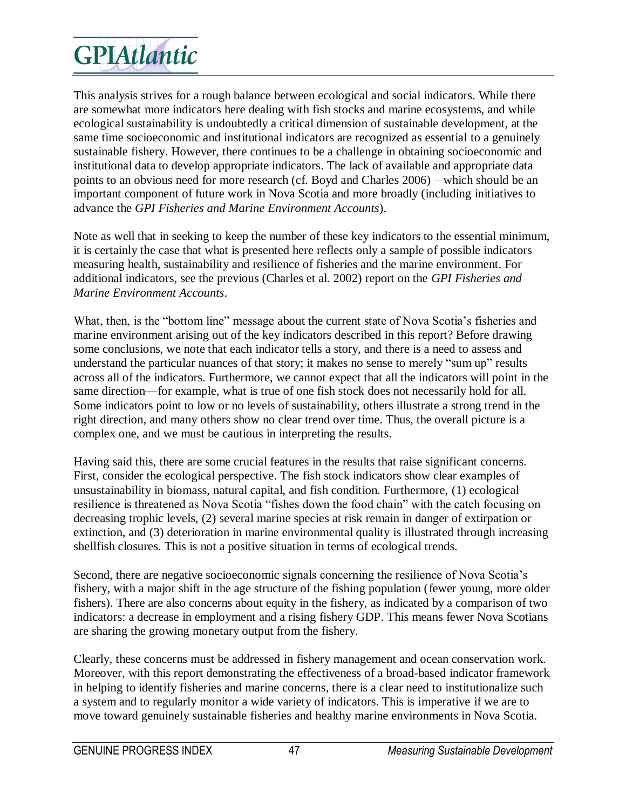This analysis strives for a rough balance between ecological and social indicators. While there are somewhat more indicators here dealing with fish stocks and marine ecosystems, and while ecological sustainability is undoubtedly a critical dimension of sustainable development, at the same time socioeconomic and institutional indicators are recognized as essential to a genuinely sustainable fishery. However, there continues to be a challenge in obtaining socioeconomic and institutional data to develop appropriate indicators. The lack of available and appropriate data points to an obvious need for more research (cf. Boyd and Charles 2006) – which should be an important component of future work in Nova Scotia and more broadly (including initiatives to advance the *GPI Fisheries and Marine Environment Accounts*).

Note as well that in seeking to keep the number of these key indicators to the essential minimum, it is certainly the case that what is presented here reflects only a sample of possible indicators measuring health, sustainability and resilience of fisheries and the marine environment. For additional indicators, see the previous (Charles et al. 2002) report on the *GPI Fisheries and Marine Environment Accounts*.

What, then, is the "bottom line" message about the current state of Nova Scotia's fisheries and marine environment arising out of the key indicators described in this report? Before drawing some conclusions, we note that each indicator tells a story, and there is a need to assess and understand the particular nuances of that story; it makes no sense to merely "sum up" results across all of the indicators. Furthermore, we cannot expect that all the indicators will point in the same direction—for example, what is true of one fish stock does not necessarily hold for all. Some indicators point to low or no levels of sustainability, others illustrate a strong trend in the right direction, and many others show no clear trend over time. Thus, the overall picture is a complex one, and we must be cautious in interpreting the results.

Having said this, there are some crucial features in the results that raise significant concerns. First, consider the ecological perspective. The fish stock indicators show clear examples of unsustainability in biomass, natural capital, and fish condition. Furthermore, (1) ecological resilience is threatened as Nova Scotia "fishes down the food chain" with the catch focusing on decreasing trophic levels, (2) several marine species at risk remain in danger of extirpation or extinction, and (3) deterioration in marine environmental quality is illustrated through increasing shellfish closures. This is not a positive situation in terms of ecological trends.

Second, there are negative socioeconomic signals concerning the resilience of Nova Scotia's fishery, with a major shift in the age structure of the fishing population (fewer young, more older fishers). There are also concerns about equity in the fishery, as indicated by a comparison of two indicators: a decrease in employment and a rising fishery GDP. This means fewer Nova Scotians are sharing the growing monetary output from the fishery.

Clearly, these concerns must be addressed in fishery management and ocean conservation work. Moreover, with this report demonstrating the effectiveness of a broad-based indicator framework in helping to identify fisheries and marine concerns, there is a clear need to institutionalize such a system and to regularly monitor a wide variety of indicators. This is imperative if we are to move toward genuinely sustainable fisheries and healthy marine environments in Nova Scotia.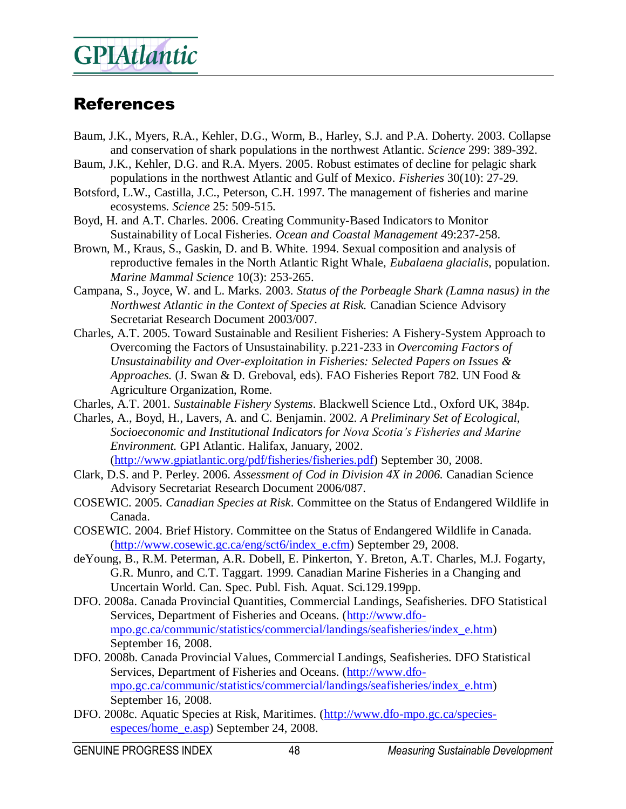#### References

- Baum, J.K., Myers, R.A., Kehler, D.G., Worm, B., Harley, S.J. and P.A. Doherty. 2003. Collapse and conservation of shark populations in the northwest Atlantic. *Science* 299: 389-392.
- Baum, J.K., Kehler, D.G. and R.A. Myers. 2005. Robust estimates of decline for pelagic shark populations in the northwest Atlantic and Gulf of Mexico. *Fisheries* 30(10): 27-29.
- Botsford, L.W., Castilla, J.C., Peterson, C.H. 1997. The management of fisheries and marine ecosystems. *Science* 25: 509-515.
- Boyd, H. and A.T. Charles. 2006. Creating Community-Based Indicators to Monitor Sustainability of Local Fisheries. *Ocean and Coastal Management* 49:237-258.
- Brown, M., Kraus, S., Gaskin, D. and B. White. 1994. Sexual composition and analysis of reproductive females in the North Atlantic Right Whale, *Eubalaena glacialis*, population. *Marine Mammal Science* 10(3): 253-265.
- Campana, S., Joyce, W. and L. Marks. 2003. *Status of the Porbeagle Shark (Lamna nasus) in the Northwest Atlantic in the Context of Species at Risk.* Canadian Science Advisory Secretariat Research Document 2003/007.
- Charles, A.T. 2005. Toward Sustainable and Resilient Fisheries: A Fishery-System Approach to Overcoming the Factors of Unsustainability. p.221-233 in *Overcoming Factors of Unsustainability and Over-exploitation in Fisheries: Selected Papers on Issues & Approaches.* (J. Swan & D. Greboval, eds). FAO Fisheries Report 782. UN Food & Agriculture Organization, Rome.
- Charles, A.T. 2001. *Sustainable Fishery Systems*. Blackwell Science Ltd., Oxford UK, 384p.
- Charles, A., Boyd, H., Lavers, A. and C. Benjamin. 2002. *A Preliminary Set of Ecological, Socioeconomic and Institutional Indicators for Nova Scotia's Fisheries and Marine Environment.* GPI Atlantic. Halifax, January, 2002. [\(http://www.gpiatlantic.org/pdf/fisheries/fisheries.pdf\)](http://www.gpiatlantic.org/pdf/fisheries/fisheries.pdf) September 30, 2008.
- Clark, D.S. and P. Perley. 2006. *Assessment of Cod in Division 4X in 2006.* Canadian Science Advisory Secretariat Research Document 2006/087.
- COSEWIC. 2005. *Canadian Species at Risk*. Committee on the Status of Endangered Wildlife in Canada.
- COSEWIC. 2004. Brief History. Committee on the Status of Endangered Wildlife in Canada. [\(http://www.cosewic.gc.ca/eng/sct6/index\\_e.cfm\)](http://www.cosewic.gc.ca/eng/sct6/index_e.cfm) September 29, 2008.
- deYoung, B., R.M. Peterman, A.R. Dobell, E. Pinkerton, Y. Breton, A.T. Charles, M.J. Fogarty, G.R. Munro, and C.T. Taggart. 1999. Canadian Marine Fisheries in a Changing and Uncertain World. Can. Spec. Publ. Fish. Aquat. Sci.129.199pp.
- DFO. 2008a. Canada Provincial Quantities, Commercial Landings, Seafisheries. DFO Statistical Services, Department of Fisheries and Oceans. [\(http://www.dfo](http://www.dfo-mpo.gc.ca/communic/statistics/commercial/landings/seafisheries/index_e.htm)[mpo.gc.ca/communic/statistics/commercial/landings/seafisheries/index\\_e.htm\)](http://www.dfo-mpo.gc.ca/communic/statistics/commercial/landings/seafisheries/index_e.htm) September 16, 2008.
- DFO. 2008b. Canada Provincial Values, Commercial Landings, Seafisheries. DFO Statistical Services, Department of Fisheries and Oceans. [\(http://www.dfo](http://www.dfo-mpo.gc.ca/communic/statistics/commercial/landings/seafisheries/index_e.htm)[mpo.gc.ca/communic/statistics/commercial/landings/seafisheries/index\\_e.htm\)](http://www.dfo-mpo.gc.ca/communic/statistics/commercial/landings/seafisheries/index_e.htm) September 16, 2008.
- DFO. 2008c. Aquatic Species at Risk, Maritimes. [\(http://www.dfo-mpo.gc.ca/species](http://www.dfo-mpo.gc.ca/species-especes/home_e.asp)[especes/home\\_e.asp\)](http://www.dfo-mpo.gc.ca/species-especes/home_e.asp) September 24, 2008.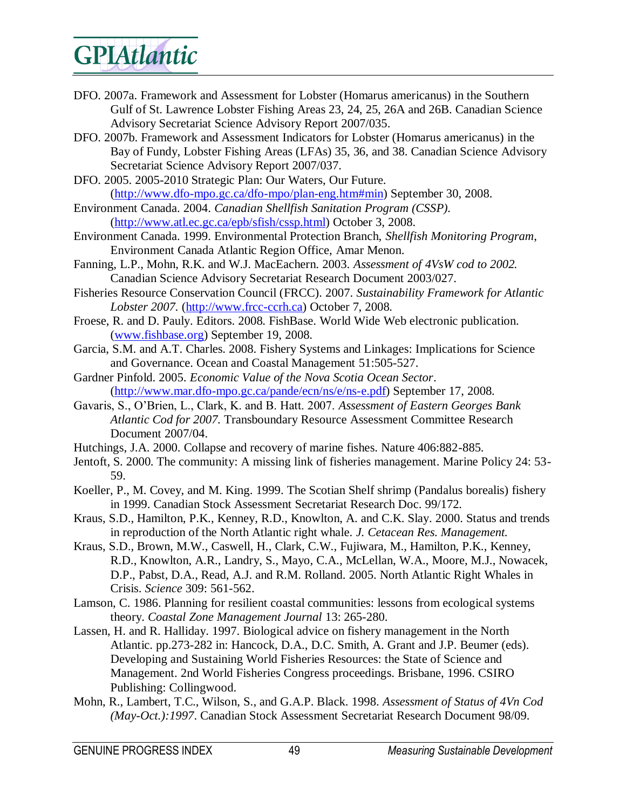- DFO. 2007a. Framework and Assessment for Lobster (Homarus americanus) in the Southern Gulf of St. Lawrence Lobster Fishing Areas 23, 24, 25, 26A and 26B. Canadian Science Advisory Secretariat Science Advisory Report 2007/035.
- DFO. 2007b. Framework and Assessment Indicators for Lobster (Homarus americanus) in the Bay of Fundy, Lobster Fishing Areas (LFAs) 35, 36, and 38. Canadian Science Advisory Secretariat Science Advisory Report 2007/037.
- DFO. 2005. 2005-2010 Strategic Plan: Our Waters, Our Future. [\(http://www.dfo-mpo.gc.ca/dfo-mpo/plan-eng.htm#min\)](http://www.dfo-mpo.gc.ca/dfo-mpo/plan-eng.htm#min) September 30, 2008.
- Environment Canada. 2004. *Canadian Shellfish Sanitation Program (CSSP).* [\(http://www.atl.ec.gc.ca/epb/sfish/cssp.html\)](http://www.atl.ec.gc.ca/epb/sfish/cssp.html) October 3, 2008.
- Environment Canada. 1999. Environmental Protection Branch, *Shellfish Monitoring Program*, Environment Canada Atlantic Region Office, Amar Menon.
- Fanning, L.P., Mohn, R.K. and W.J. MacEachern. 2003. *Assessment of 4VsW cod to 2002.*  Canadian Science Advisory Secretariat Research Document 2003/027.
- Fisheries Resource Conservation Council (FRCC). 2007. *Sustainability Framework for Atlantic Lobster 2007.* [\(http://www.frcc-ccrh.ca\)](http://www.frcc-ccrh.ca/) October 7, 2008.
- Froese, R. and D. Pauly. Editors. 2008. FishBase. World Wide Web electronic publication. [\(www.fishbase.org\)](http://www.fishbase.org) September 19, 2008.
- Garcia, S.M. and A.T. Charles. 2008. Fishery Systems and Linkages: Implications for Science and Governance. Ocean and Coastal Management 51:505-527.
- Gardner Pinfold. 2005. *Economic Value of the Nova Scotia Ocean Sector*. [\(http://www.mar.dfo-mpo.gc.ca/pande/ecn/ns/e/ns-e.pdf\)](http://www.mar.dfo-mpo.gc.ca/pande/ecn/ns/e/ns-e.pdf) September 17, 2008.
- Gavaris, S., O'Brien, L., Clark, K. and B. Hatt. 2007. *Assessment of Eastern Georges Bank Atlantic Cod for 2007.* Transboundary Resource Assessment Committee Research Document 2007/04.
- Hutchings, J.A. 2000. Collapse and recovery of marine fishes. Nature 406:882-885.
- Jentoft, S. 2000. The community: A missing link of fisheries management. Marine Policy 24: 53- 59.
- Koeller, P., M. Covey, and M. King. 1999. The Scotian Shelf shrimp (Pandalus borealis) fishery in 1999. Canadian Stock Assessment Secretariat Research Doc. 99/172.
- Kraus, S.D., Hamilton, P.K., Kenney, R.D., Knowlton, A. and C.K. Slay. 2000. Status and trends in reproduction of the North Atlantic right whale. *J. Cetacean Res. Management.*
- Kraus, S.D., Brown, M.W., Caswell, H., Clark, C.W., Fujiwara, M., Hamilton, P.K., Kenney, R.D., Knowlton, A.R., Landry, S., Mayo, C.A., McLellan, W.A., Moore, M.J., Nowacek, D.P., Pabst, D.A., Read, A.J. and R.M. Rolland. 2005. North Atlantic Right Whales in Crisis. *Science* 309: 561-562.
- Lamson, C. 1986. Planning for resilient coastal communities: lessons from ecological systems theory. *Coastal Zone Management Journal* 13: 265-280.
- Lassen, H. and R. Halliday. 1997. Biological advice on fishery management in the North Atlantic. pp.273-282 in: Hancock, D.A., D.C. Smith, A. Grant and J.P. Beumer (eds). Developing and Sustaining World Fisheries Resources: the State of Science and Management. 2nd World Fisheries Congress proceedings. Brisbane, 1996. CSIRO Publishing: Collingwood.
- Mohn, R., Lambert, T.C., Wilson, S., and G.A.P. Black. 1998. *Assessment of Status of 4Vn Cod (May-Oct.):1997*. Canadian Stock Assessment Secretariat Research Document 98/09.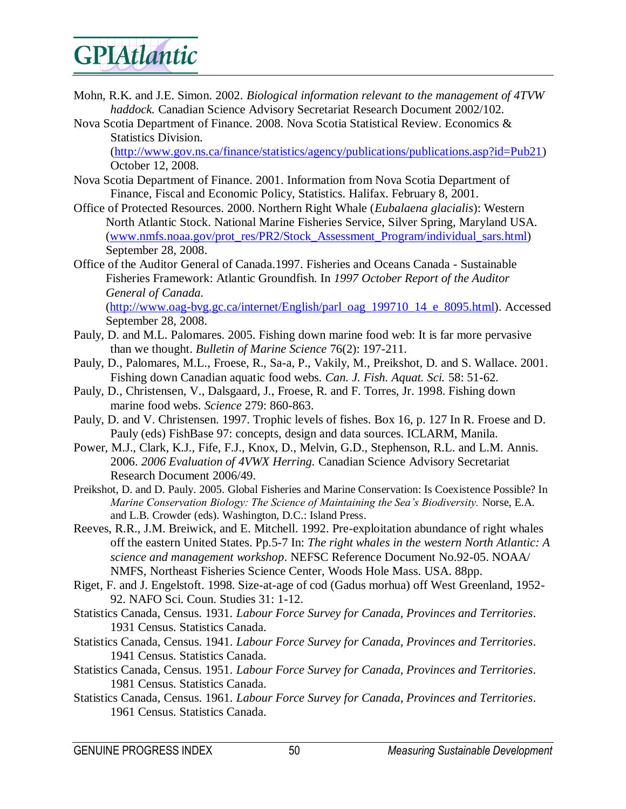- Mohn, R.K. and J.E. Simon. 2002. *Biological information relevant to the management of 4TVW haddock.* Canadian Science Advisory Secretariat Research Document 2002/102.
- Nova Scotia Department of Finance. 2008. Nova Scotia Statistical Review. Economics & Statistics Division.

[\(http://www.gov.ns.ca/finance/statistics/agency/publications/publications.asp?id=Pub21\)](http://www.gov.ns.ca/finance/statistics/agency/publications/publications.asp?id=Pub21) October 12, 2008.

- Nova Scotia Department of Finance. 2001. Information from Nova Scotia Department of Finance, Fiscal and Economic Policy, Statistics. Halifax. February 8, 2001.
- Office of Protected Resources. 2000. Northern Right Whale (*Eubalaena glacialis*): Western North Atlantic Stock. National Marine Fisheries Service, Silver Spring, Maryland USA. [\(www.nmfs.noaa.gov/prot\\_res/PR2/Stock\\_Assessment\\_Program/individual\\_sars.html\)](http://www.nmfs.noaa.gov/prot_res/PR2/Stock_Assessment_Program/individual_sars.html) September 28, 2008.
- Office of the Auditor General of Canada.1997. Fisheries and Oceans Canada Sustainable Fisheries Framework: Atlantic Groundfish. In *1997 October Report of the Auditor General of Canada.* [\(http://www.oag-bvg.gc.ca/internet/English/parl\\_oag\\_199710\\_14\\_e\\_8095.html\)](http://www.oag-bvg.gc.ca/internet/English/parl_oag_199710_14_e_8095.html). Accessed September 28, 2008.
- Pauly, D. and M.L. Palomares. 2005. Fishing down marine food web: It is far more pervasive than we thought. *Bulletin of Marine Science* 76(2): 197-211.
- Pauly, D., Palomares, M.L., Froese, R., Sa-a, P., Vakily, M., Preikshot, D. and S. Wallace. 2001. Fishing down Canadian aquatic food webs. *Can. J. Fish. Aquat. Sci.* 58: 51-62.
- Pauly, D., Christensen, V., Dalsgaard, J., Froese, R. and F. Torres, Jr. 1998. Fishing down marine food webs. *Science* 279: 860-863.
- Pauly, D. and V. Christensen. 1997. Trophic levels of fishes. Box 16, p. 127 In R. Froese and D. Pauly (eds) FishBase 97: concepts, design and data sources. ICLARM, Manila.
- Power, M.J., Clark, K.J., Fife, F.J., Knox, D., Melvin, G.D., Stephenson, R.L. and L.M. Annis. 2006. *2006 Evaluation of 4VWX Herring.* Canadian Science Advisory Secretariat Research Document 2006/49.
- Preikshot, D. and D. Pauly. 2005. Global Fisheries and Marine Conservation: Is Coexistence Possible? In *Marine Conservation Biology: The Science of Maintaining the Sea's Biodiversity.* Norse, E.A. and L.B. Crowder (eds). Washington, D.C.: Island Press.
- Reeves, R.R., J.M. Breiwick, and E. Mitchell. 1992. Pre-exploitation abundance of right whales off the eastern United States. Pp.5-7 In: *The right whales in the western North Atlantic: A science and management workshop*. NEFSC Reference Document No.92-05. NOAA/ NMFS, Northeast Fisheries Science Center, Woods Hole Mass. USA. 88pp.
- Riget, F. and J. Engelstoft. 1998. Size-at-age of cod (Gadus morhua) off West Greenland, 1952- 92. NAFO Sci. Coun. Studies 31: 1-12.
- Statistics Canada, Census. 1931. *Labour Force Survey for Canada, Provinces and Territories*. 1931 Census. Statistics Canada.
- Statistics Canada, Census. 1941. *Labour Force Survey for Canada, Provinces and Territories*. 1941 Census. Statistics Canada.
- Statistics Canada, Census. 1951. *Labour Force Survey for Canada, Provinces and Territories*. 1981 Census. Statistics Canada.
- Statistics Canada, Census. 1961. *Labour Force Survey for Canada, Provinces and Territories*. 1961 Census. Statistics Canada.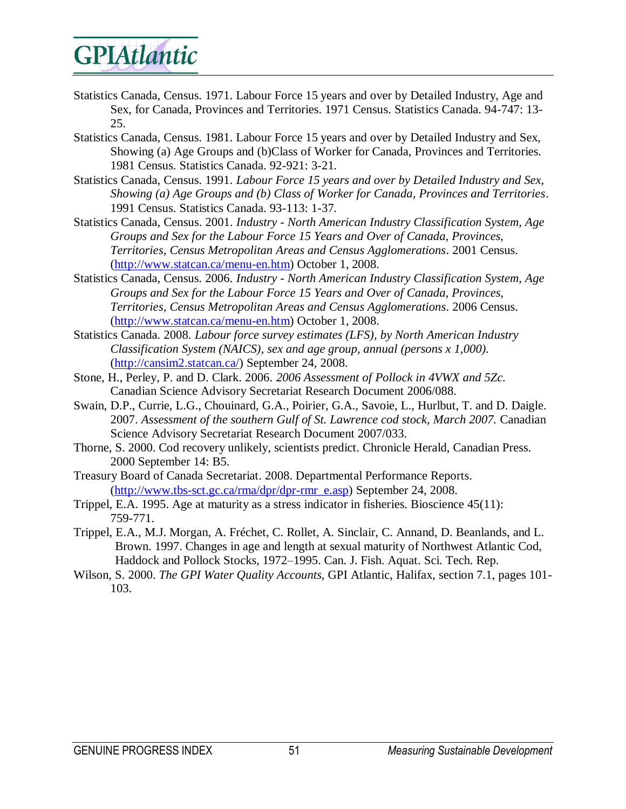- Statistics Canada, Census. 1971. Labour Force 15 years and over by Detailed Industry, Age and Sex, for Canada, Provinces and Territories. 1971 Census. Statistics Canada. 94-747: 13- 25.
- Statistics Canada, Census. 1981. Labour Force 15 years and over by Detailed Industry and Sex, Showing (a) Age Groups and (b)Class of Worker for Canada, Provinces and Territories. 1981 Census. Statistics Canada. 92-921: 3-21.
- Statistics Canada, Census. 1991. *Labour Force 15 years and over by Detailed Industry and Sex, Showing (a) Age Groups and (b) Class of Worker for Canada, Provinces and Territories*. 1991 Census. Statistics Canada. 93-113: 1-37.
- Statistics Canada, Census. 2001. *Industry - North American Industry Classification System, Age Groups and Sex for the Labour Force 15 Years and Over of Canada, Provinces, Territories, Census Metropolitan Areas and Census Agglomerations*. 2001 Census. [\(http://www.statcan.ca/menu-en.htm\)](http://www.statcan.ca/menu-en.htm) October 1, 2008.
- Statistics Canada, Census. 2006. *Industry - North American Industry Classification System, Age Groups and Sex for the Labour Force 15 Years and Over of Canada, Provinces, Territories, Census Metropolitan Areas and Census Agglomerations*. 2006 Census. [\(http://www.statcan.ca/menu-en.htm\)](http://www.statcan.ca/menu-en.htm) October 1, 2008.
- Statistics Canada. 2008. *Labour force survey estimates (LFS), by North American Industry Classification System (NAICS), sex and age group, annual (persons x 1,000).* [\(http://cansim2.statcan.ca/\)](http://cansim2.statcan.ca/) September 24, 2008.
- Stone, H., Perley, P. and D. Clark. 2006. *2006 Assessment of Pollock in 4VWX and 5Zc.*  Canadian Science Advisory Secretariat Research Document 2006/088.
- Swain, D.P., Currie, L.G., Chouinard, G.A., Poirier, G.A., Savoie, L., Hurlbut, T. and D. Daigle. 2007. *Assessment of the southern Gulf of St. Lawrence cod stock, March 2007.* Canadian Science Advisory Secretariat Research Document 2007/033.
- Thorne, S. 2000. Cod recovery unlikely, scientists predict. Chronicle Herald, Canadian Press. 2000 September 14: B5.
- Treasury Board of Canada Secretariat. 2008. Departmental Performance Reports. [\(http://www.tbs-sct.gc.ca/rma/dpr/dpr-rmr\\_e.asp\)](http://www.tbs-sct.gc.ca/rma/dpr/dpr-rmr_e.asp) September 24, 2008.
- Trippel, E.A. 1995. Age at maturity as a stress indicator in fisheries. Bioscience 45(11): 759-771.
- Trippel, E.A., M.J. Morgan, A. Fréchet, C. Rollet, A. Sinclair, C. Annand, D. Beanlands, and L. Brown. 1997. Changes in age and length at sexual maturity of Northwest Atlantic Cod, Haddock and Pollock Stocks, 1972–1995. Can. J. Fish. Aquat. Sci. Tech. Rep.
- Wilson, S. 2000. *The GPI Water Quality Accounts,* GPI Atlantic, Halifax, section 7.1, pages 101- 103.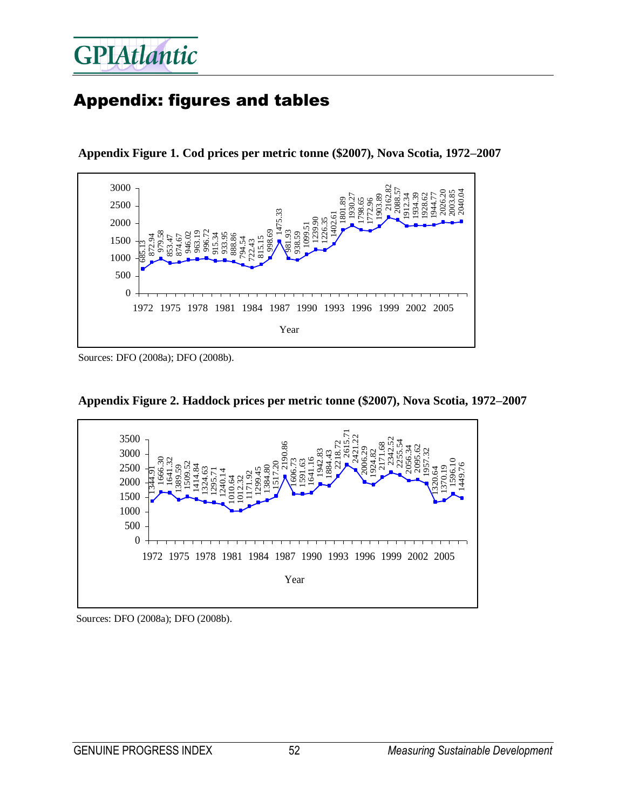#### Appendix: figures and tables



**Appendix Figure 1. Cod prices per metric tonne (\$2007), Nova Scotia, 1972–2007** 

Sources: DFO (2008a); DFO (2008b).





Sources: DFO (2008a); DFO (2008b).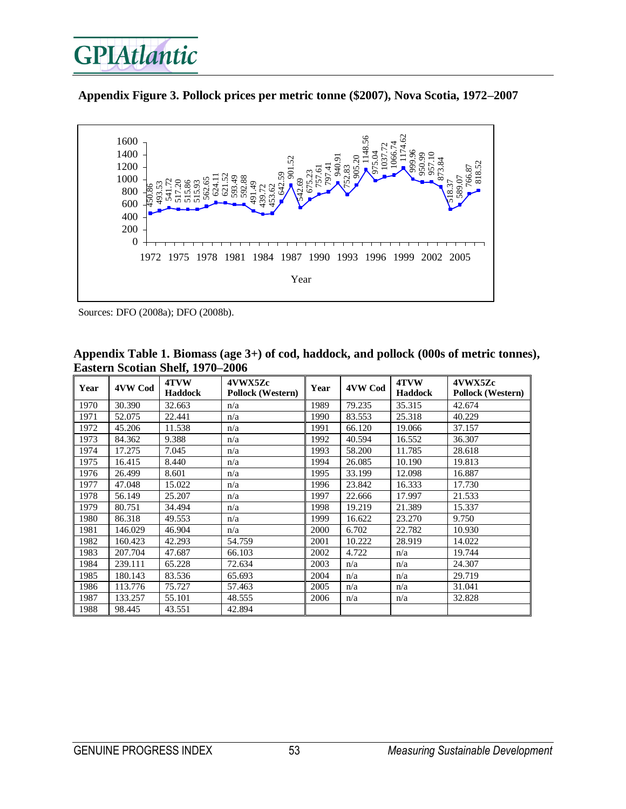





Sources: DFO (2008a); DFO (2008b).

| Year | 4VW Cod | 4TVW<br><b>Haddock</b> | 4VWX5Zc<br>Pollock (Western) | Year | 4VW Cod | 4TVW<br><b>Haddock</b> | 4VWX5Zc<br><b>Pollock (Western)</b> |
|------|---------|------------------------|------------------------------|------|---------|------------------------|-------------------------------------|
| 1970 | 30.390  | 32.663                 | n/a                          | 1989 | 79.235  | 35.315                 | 42.674                              |
| 1971 | 52.075  | 22.441                 | n/a                          | 1990 | 83.553  | 25.318                 | 40.229                              |
| 1972 | 45.206  | 11.538                 | n/a                          | 1991 | 66.120  | 19.066                 | 37.157                              |
| 1973 | 84.362  | 9.388                  | n/a                          | 1992 | 40.594  | 16.552                 | 36.307                              |
| 1974 | 17.275  | 7.045                  | n/a                          | 1993 | 58.200  | 11.785                 | 28.618                              |
| 1975 | 16.415  | 8.440                  | n/a                          | 1994 | 26.085  | 10.190                 | 19.813                              |
| 1976 | 26.499  | 8.601                  | n/a                          | 1995 | 33.199  | 12.098                 | 16.887                              |
| 1977 | 47.048  | 15.022                 | n/a                          | 1996 | 23.842  | 16.333                 | 17.730                              |
| 1978 | 56.149  | 25.207                 | n/a                          | 1997 | 22.666  | 17.997                 | 21.533                              |
| 1979 | 80.751  | 34.494                 | n/a                          | 1998 | 19.219  | 21.389                 | 15.337                              |
| 1980 | 86.318  | 49.553                 | n/a                          | 1999 | 16.622  | 23.270                 | 9.750                               |
| 1981 | 146.029 | 46.904                 | n/a                          | 2000 | 6.702   | 22.782                 | 10.930                              |
| 1982 | 160.423 | 42.293                 | 54.759                       | 2001 | 10.222  | 28.919                 | 14.022                              |
| 1983 | 207.704 | 47.687                 | 66.103                       | 2002 | 4.722   | n/a                    | 19.744                              |
| 1984 | 239.111 | 65.228                 | 72.634                       | 2003 | n/a     | n/a                    | 24.307                              |
| 1985 | 180.143 | 83.536                 | 65.693                       | 2004 | n/a     | n/a                    | 29.719                              |
| 1986 | 113.776 | 75.727                 | 57.463                       | 2005 | n/a     | n/a                    | 31.041                              |
| 1987 | 133.257 | 55.101                 | 48.555                       | 2006 | n/a     | n/a                    | 32.828                              |
| 1988 | 98.445  | 43.551                 | 42.894                       |      |         |                        |                                     |

**Appendix Table 1. Biomass (age 3+) of cod, haddock, and pollock (000s of metric tonnes), Eastern Scotian Shelf, 1970–2006**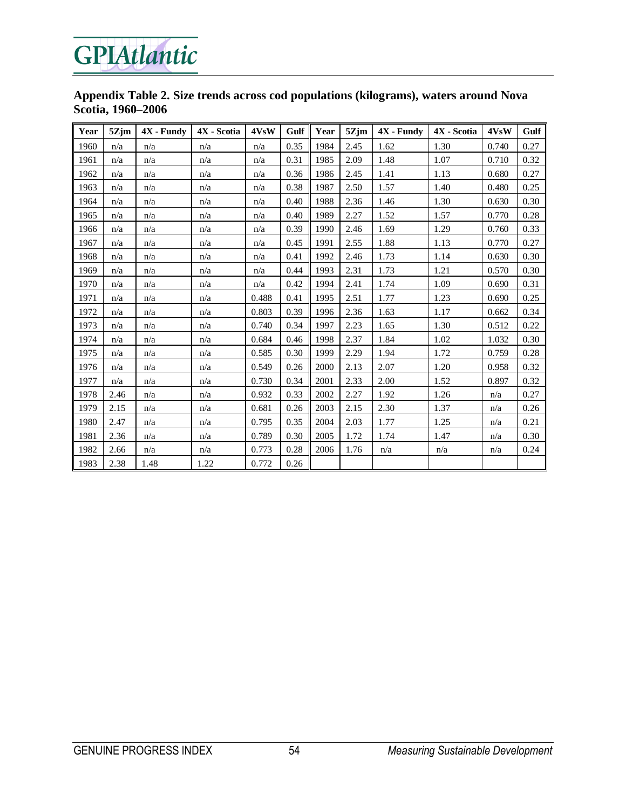#### **Appendix Table 2. Size trends across cod populations (kilograms), waters around Nova Scotia, 1960–2006**

| Year | 5Zjm | $4X$ - Fundy | 4X - Scotia | 4VsW  | Gulf | Year | 5Zjm | $4X$ - Fundy | 4X - Scotia | 4VsW  | Gulf |
|------|------|--------------|-------------|-------|------|------|------|--------------|-------------|-------|------|
| 1960 | n/a  | n/a          | n/a         | n/a   | 0.35 | 1984 | 2.45 | 1.62         | 1.30        | 0.740 | 0.27 |
| 1961 | n/a  | n/a          | n/a         | n/a   | 0.31 | 1985 | 2.09 | 1.48         | 1.07        | 0.710 | 0.32 |
| 1962 | n/a  | n/a          | n/a         | n/a   | 0.36 | 1986 | 2.45 | 1.41         | 1.13        | 0.680 | 0.27 |
| 1963 | n/a  | n/a          | n/a         | n/a   | 0.38 | 1987 | 2.50 | 1.57         | 1.40        | 0.480 | 0.25 |
| 1964 | n/a  | n/a          | n/a         | n/a   | 0.40 | 1988 | 2.36 | 1.46         | 1.30        | 0.630 | 0.30 |
| 1965 | n/a  | n/a          | n/a         | n/a   | 0.40 | 1989 | 2.27 | 1.52         | 1.57        | 0.770 | 0.28 |
| 1966 | n/a  | n/a          | n/a         | n/a   | 0.39 | 1990 | 2.46 | 1.69         | 1.29        | 0.760 | 0.33 |
| 1967 | n/a  | n/a          | n/a         | n/a   | 0.45 | 1991 | 2.55 | 1.88         | 1.13        | 0.770 | 0.27 |
| 1968 | n/a  | n/a          | n/a         | n/a   | 0.41 | 1992 | 2.46 | 1.73         | 1.14        | 0.630 | 0.30 |
| 1969 | n/a  | n/a          | n/a         | n/a   | 0.44 | 1993 | 2.31 | 1.73         | 1.21        | 0.570 | 0.30 |
| 1970 | n/a  | n/a          | n/a         | n/a   | 0.42 | 1994 | 2.41 | 1.74         | 1.09        | 0.690 | 0.31 |
| 1971 | n/a  | n/a          | n/a         | 0.488 | 0.41 | 1995 | 2.51 | 1.77         | 1.23        | 0.690 | 0.25 |
| 1972 | n/a  | n/a          | n/a         | 0.803 | 0.39 | 1996 | 2.36 | 1.63         | 1.17        | 0.662 | 0.34 |
| 1973 | n/a  | n/a          | n/a         | 0.740 | 0.34 | 1997 | 2.23 | 1.65         | 1.30        | 0.512 | 0.22 |
| 1974 | n/a  | n/a          | n/a         | 0.684 | 0.46 | 1998 | 2.37 | 1.84         | 1.02        | 1.032 | 0.30 |
| 1975 | n/a  | n/a          | n/a         | 0.585 | 0.30 | 1999 | 2.29 | 1.94         | 1.72        | 0.759 | 0.28 |
| 1976 | n/a  | n/a          | n/a         | 0.549 | 0.26 | 2000 | 2.13 | 2.07         | 1.20        | 0.958 | 0.32 |
| 1977 | n/a  | n/a          | n/a         | 0.730 | 0.34 | 2001 | 2.33 | 2.00         | 1.52        | 0.897 | 0.32 |
| 1978 | 2.46 | n/a          | n/a         | 0.932 | 0.33 | 2002 | 2.27 | 1.92         | 1.26        | n/a   | 0.27 |
| 1979 | 2.15 | n/a          | n/a         | 0.681 | 0.26 | 2003 | 2.15 | 2.30         | 1.37        | n/a   | 0.26 |
| 1980 | 2.47 | n/a          | n/a         | 0.795 | 0.35 | 2004 | 2.03 | 1.77         | 1.25        | n/a   | 0.21 |
| 1981 | 2.36 | n/a          | n/a         | 0.789 | 0.30 | 2005 | 1.72 | 1.74         | 1.47        | n/a   | 0.30 |
| 1982 | 2.66 | n/a          | n/a         | 0.773 | 0.28 | 2006 | 1.76 | n/a          | n/a         | n/a   | 0.24 |
| 1983 | 2.38 | 1.48         | 1.22        | 0.772 | 0.26 |      |      |              |             |       |      |